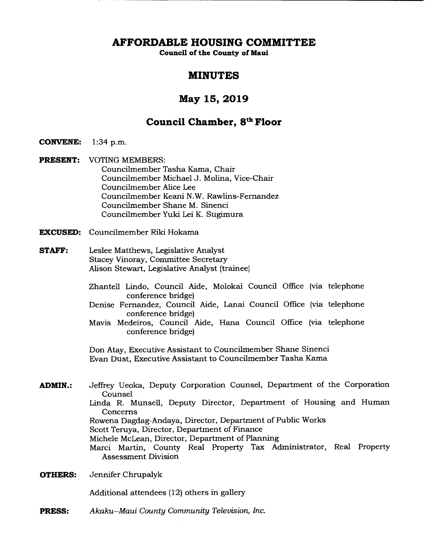**AFFORDABLE HOUSING COMMITTEE** 

**Council of the County of Maui** 

# **MINUTES**

# **May 15, 2019**

# **Council Chamber, 8th Floor**

- **CONVENE:** 1:34 p.m.
- **PRESENT:** VOTING MEMBERS: Councilmember Tasha Kama, Chair Councilmember Michael J. Molina, Vice-Chair Councilmember Alice Lee Councilmember Keani N.W. Rawlins-Fernandez Councilmember Shane M. Sinenci Councilmember Yuki Lei K. Sugimura
- **EXCUSED:** Councilmember Riki Hokama
- **STAFF:** Leslee Matthews, Legislative Analyst Stacey Vinoray, Committee Secretary Alison Stewart, Legislative Analyst (trainee)
	- Zhantell Lindo, Council Aide, Molokai Council Office (via telephone conference bridge)
	- Denise Fernandez, Council Aide, Lanai Council Office (via telephone conference bridge)
	- Mavis Medeiros, Council Aide, Hana Council Office (via telephone conference bridge)

Don Atay, Executive Assistant to Councilmember Shane Sinenci Evan Dust, Executive Assistant to Councilmember Tasha Kama

- **ADMIN.:** Jeffrey Ueoka, Deputy Corporation Counsel, Department of the Corporation Counsel Linda R. Munsell, Deputy Director, Department of Housing and Human Concerns Rowena Dagdag-Andaya, Director, Department of Public Works Scott Teruya, Director, Department of Finance Michele McLean, Director, Department of Planning Marci Martin, County Real Property Tax Administrator, Real Property Assessment Division
- **OTHERS:** Jennifer Chrupalyk

Additional attendees (12) others in gallery

**PRESS:** *Akaku--Maui County Community Television, Inc.*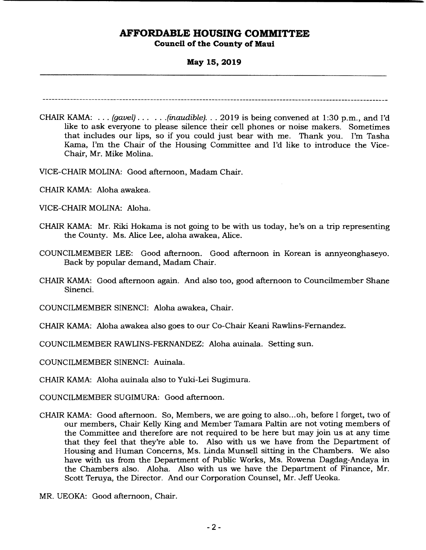### **May 15, 2019**

- CHAIR KAMA: . . . *(gavel)... ...(inaudible). . . 2019* is being convened at 1:30 p.m., and I'd like to ask everyone to please silence their cell phones or noise makers. Sometimes that includes our lips, so if you could just bear with me. Thank you. I'm Tasha Kama, I'm the Chair of the Housing Committee and I'd like to introduce the Vice-Chair, Mr. Mike Molina.
- VICE-CHAIR MOLINA: Good afternoon, Madam Chair.
- CHAIR KAMA: Aloha awakea.
- VICE-CHAIR MOLINA: Aloha.
- CHAIR KAMA: Mr. Riki Hokama is not going to be with us today, he's on a trip representing the County. Ms. Alice Lee, aloha awakea, Alice.
- COUNCILMEMBER LEE: Good afternoon. Good afternoon in Korean is annyeonghaseyo. Back by popular demand, Madam Chair.
- CHAIR KAMA: Good afternoon again. And also too, good afternoon to Councilmember Shane Sinenci.

COUNCILMEMBER SINENCI: Aloha awakea, Chair.

CHAIR KAMA: Aloha awakea also goes to our Co-Chair Keani Rawlins-Fernandez.

COUNCILMEMBER RAWLINS-FERNANDEZ: Aloha auinala. Setting sun.

COUNCILMEMBER SINENCI: Auinala.

CHAIR KAMA: Aloha auinala also to Yuki-Lei Sugimura.

COUNCILMEMBER SUGIMURA: Good afternoon.

CHAIR KAMA: Good afternoon. So, Members, we are going to also... oh, before I forget, two of our members, Chair Kelly King and Member Tamara Paltin are not voting members of the Committee and therefore are not required to be here but may join us at any time that they feel that they're able to. Also with us we have from the Department of Housing and Human Concerns, Ms. Linda Munsell sitting in the Chambers. We also have with us from the Department of Public Works, Ms. Rowena Dagdag-Andaya in the Chambers also. Aloha. Also with us we have the Department of Finance, Mr. Scott Teruya, the Director. And our Corporation Counsel, Mr. Jeff Ueoka.

MR. UEOKA: Good afternoon, Chair.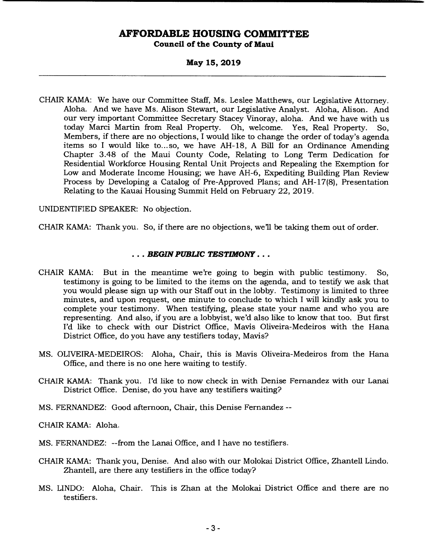#### **May 15, 2019**

CHAIR KAMA: We have our Committee Staff, Ms. Leslee Matthews, our Legislative Attorney. Aloha. And we have Ms. Alison Stewart, our Legislative Analyst. Aloha, Alison. And our very important Committee Secretary Stacey Vinoray, aloha. And we have with us today Marci Martin from Real Property. Oh, welcome. Yes, Real Property. So, Members, if there are no objections, I would like to change the order of today's agenda items so I would like to...so, we have AH-18, A Bill for an Ordinance Amending Chapter 3.48 of the Maui County Code, Relating to Long Term Dedication for Residential Workiorce Housing Rental Unit Projects and Repealing the Exemption for Low and Moderate Income Housing; we have AH-6, Expediting Building Plan Review Process by Developing a Catalog of Pre-Approved Plans; and AH- 17(8), Presentation Relating to the Kauai Housing Summit Held on February 22, 2019.

UNIDENTIFIED SPEAKER: No objection.

CHAIR KAMA: Thank you. So, if there are no objections, we'll be taking them out of order.

#### **• • • BEGIN PUBLIC TESTIMONY . . .**

- CHAIR KAMA: But in the meantime we're going to begin with public testimony. So, testimony is going to be limited to the items on the agenda, and to testify we ask that you would please sign up with our Staff out in the lobby. Testimony is limited to three minutes, and upon request, one minute to conclude to which I will kindly ask you to complete your testimony. When testifying, please state your name and who you are representing. And also, if you are a lobbyist, we'd also like to know that too. But first I'd like to check with our District Office, Mavis Oliveira-Medeiros with the Hana District Office, do you have any testifiers today, Mavis?
- MS. OLIVEIRA-MEDEIROS: Aloha, Chair, this is Mavis Oliveira-Medeiros from the Hana Office, and there is no one here waiting to testify.
- CHAIR KAMA: Thank you. I'd like to now check in with Denise Fernandez with our Lanai District Office. Denise, do you have any testifiers waiting?
- MS. FERNANDEZ: Good afternoon, Chair, this Denise Fernandez --

CHAIR KAMA: Aloha.

- MS. FERNANDEZ: --from the Lanai Office, and I have no testifiers.
- CHAIR KAMA: Thank you, Denise. And also with our Molokai District Office, Zhantell Lindo. Zhantell, are there any testifiers in the office today?
- MS. LINDO: Aloha, Chair. This is Zhan at the Molokai District Office and there are no testifiers.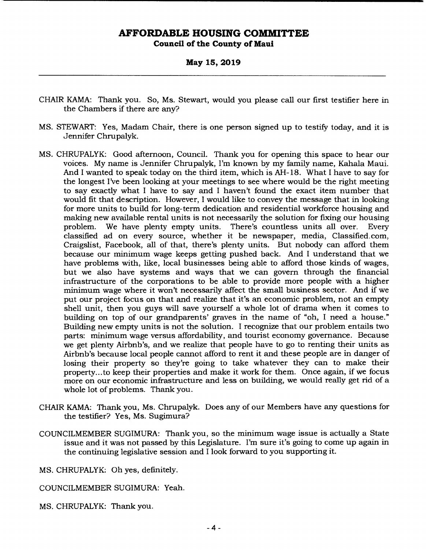**May 15, 2019** 

- CHAIR KAMA: Thank you. So, Ms. Stewart, would you please call our first testifier here in the Chambers if there are any?
- MS. STEWART: Yes, Madam Chair, there is one person signed up to testify today, and it is Jennifer Chrupalyk.
- MS. CHRUPALYK: Good afternoon, Council. Thank you for opening this space to hear our voices. My name is Jennifer Chrupalyk, I'm known by my family name, Kahala Maui. And I wanted to speak today on the third item, which is AH- 18. What I have to say for the longest I've been looking at your meetings to see where would be the right meeting to say exactly what I have to say and I haven't found the exact item number that would fit that description. However, I would like to convey the message that in looking for more units to build for long-term dedication and residential workforce housing and making new available rental units is not necessarily the solution for fixing our housing problem. We have plenty empty units. There's countless units all over. Every classified ad on every source, whether it be newspaper, media, Classified.com, Craigslist, Facebook, all of that, there's plenty units. But nobody can afford them because our minimum wage keeps getting pushed back. And I understand that we have problems with, like, local businesses being able to afford those kinds of wages, but we also have systems and ways that we can govern through the financial infrastructure of the corporations to be able to provide more people with a higher minimum wage where it won't necessarily affect the small business sector. And if we put our project focus on that and realize that it's an economic problem, not an empty shell unit, then you guys will save yourself a whole lot of drama when it comes to building on top of our grandparents' graves in the name of "oh, I need a house." Building new empty units is not the solution. I recognize that our problem entails two parts: minimum wage versus affordability, and tourist economy governance. Because we get plenty Airbnb's, and we realize that people have to go to renting their units as Airbnb's because local people cannot afford to rent it and these people are in danger of losing their property so they're going to take whatever they can to make their property... to keep their properties and make it work for them. Once again, if we focus more on our economic infrastructure and less on building, we would really get rid of a whole lot of problems. Thank you.
- CHAIR KAMA: Thank you, Ms. Chrupalyk. Does any of our Members have any questions for the testifier? Yes, Ms. Sugimura?
- COUNCILMEMBER SUGIMURA: Thank you, so the minimum wage issue is actually a State issue and it was not passed by this Legislature. I'm sure it's going to come up again in the continuing legislative session and I look forward to you supporting it.

MS. CHRUPALYK: Oh yes, definitely.

COUNCILMEMBER SUGIMURA: Yeah.

MS. CHRUPALYK: Thank you.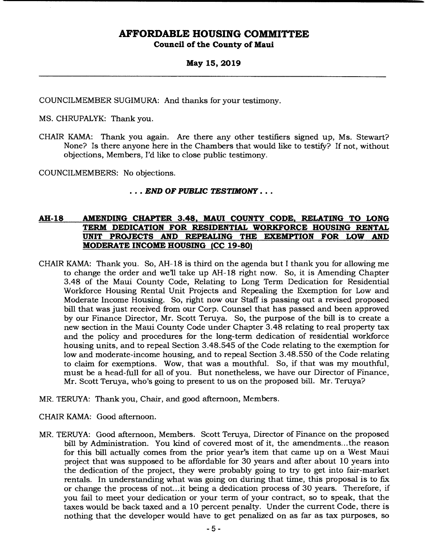#### **May 15, 2019**

COUNCILMEMBER SUGIMURA: And thanks for your testimony.

MS. CHRUPALYK: Thank you.

CHAIR KAMA: Thank you again. Are there any other testifiers signed up, Ms. Stewart? None? Is there anyone here in the Chambers that would like to testify? If not, without objections, Members, I'd like to close public testimony.

COUNCILMEMBERS: No objections.

#### *.. END OF PUBLIC TESTIMONY .. .*

### **AH-18 AMENDING CHAPTER 3.48, MAUI COUNTY CODE, RELATING TO LONG TERM DEDICATION FOR RESIDENTIAL WORKFORCE HOUSING RENTAL UNIT PROJECTS AND REPEALING THE EXEMPTION FOR LOW AND MODERATE INCOME HOUSING (CC 19-80)**

- CHAIR KAMA: Thank you. So, AH-18 is third on the agenda but I thank you for allowing me to change the order and well take up AH-18 right now. So, it is Amending Chapter 3.48 of the Maui County Code, Relating to Long Term Dedication for Residential Workforce Housing Rental Unit Projects and Repealing the Exemption for Low and Moderate Income Housing. So, right now our Staff is passing out a revised proposed bill that was just received from our Corp. Counsel that has passed and been approved by our Finance Director, Mr. Scott Teruya. So, the purpose of the bill is to create a new section in the Maui County Code under Chapter 3.48 relating to real property tax and the policy and procedures for the long-term dedication of residential workforce housing units, and to repeal Section 3.48.545 of the Code relating to the exemption for low and moderate-income housing, and to repeal Section 3.48.550 of the Code relating to claim for exemptions. Wow, that was a mouthful. So, if that was my mouthful, must be a head-full for all of you. But nonetheless, we have our Director of Finance, Mr. Scott Teruya, who's going to present to us on the proposed bill. Mr. Teruya?
- MR. TERUYA: Thank you, Chair, and good afternoon, Members.
- CHAIR KAMA: Good afternoon.
- MR. TERUYA: Good afternoon, Members. Scott Teruya, Director of Finance on the proposed bill by Administration. You kind of covered most of it, the amendments... the reason for this bill actually comes from the prior year's item that came up on a West Maui project that was supposed to be affordable for 30 years and after about 10 years into the dedication of the project, they were probably going to try to get into fair-market rentals. In understanding what was going on during that time, this proposal is to fix or change the process of not...it being a dedication process of 30 years. Therefore, if you fail to meet your dedication or your term of your contract, so to speak, that the taxes would be back taxed and a 10 percent penalty. Under the current Code, there is nothing that the developer would have to get penalized on as far as tax purposes, so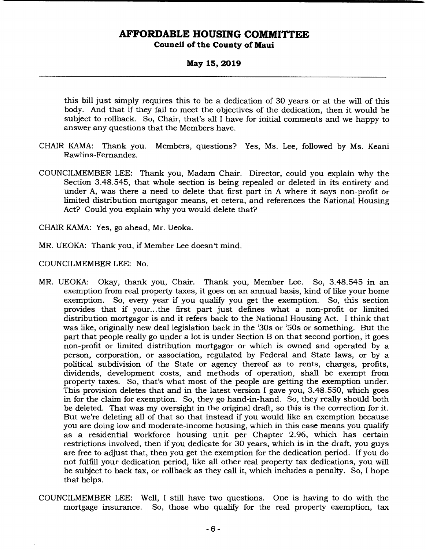#### **May 15, 2019**

this bill just simply requires this to be a dedication of 30 years or at the will of this body. And that if they fail to meet the objectives of the dedication, then it would be subject to rollback. So, Chair, that's all I have for initial comments and we happy to answer any questions that the Members have.

- CHAIR KAMA: Thank you. Members, questions? Yes, Ms. Lee, followed by Ms. Keani Rawlins-Fernandez.
- COUNCILMEMBER LEE: Thank you, Madam Chair. Director, could you explain why the Section 3.48.545, that whole section is being repealed or deleted in its entirety and under A, was there a need to delete that first part in A where it says non-profit or limited distribution mortgagor means, et cetera, and references the National Housing Act? Could you explain why you would delete that?

CHAIR KAMA: Yes, go ahead, Mr. Ueoka.

MR. UEOKA: Thank you, if Member Lee doesn't mind.

COUNCILMEMBER LEE: No.

- MR. UEOKA: Okay, thank you, Chair. Thank you, Member Lee. So, 3.48.545 in an exemption from real property taxes, it goes on an annual basis, kind of like your home exemption. So, every year if you qualify you get the exemption. So, this section provides that if your... the first part just defines what a non-profit or limited distribution mortgagor is and it refers back to the National Housing Act. I think that was like, originally new deal legislation back in the '30s or 'SOs or something. But the part that people really go under a lot is under Section B on that second portion, it goes non-profit or limited distribution mortgagor or which is owned and operated by a person, corporation, or association, regulated by Federal and State laws, or by a political subdivision of the State or agency thereof as to rents, charges, profits, dividends, development costs, and methods of operation, shall be exempt from property taxes. So, that's what most of the people are getting the exemption under. This provision deletes that and in the latest version I gave you, 3.48.550, which goes in for the claim for exemption. So, they go hand-in-hand. So, they really should both be deleted. That was my oversight in the original draft, so this is the correction for it. But we're deleting all of that so that instead if you would like an exemption because you are doing low and moderate-income housing, which in this case means you qualify as a residential workforce housing unit per Chapter 2.96, which has certain restrictions involved, then if you dedicate for 30 years, which is in the draft, you guys are free to adjust that, then you get the exemption for the dedication period. If you do not fulfill your dedication period, like all other real property tax dedications, you will be subject to back tax, or rollback as they call it, which includes a penalty. So, I hope that helps.
- COUNCILMEMBER LEE: Well, I still have two questions. One is having to do with the mortgage insurance. So, those who qualify for the real property exemption, tax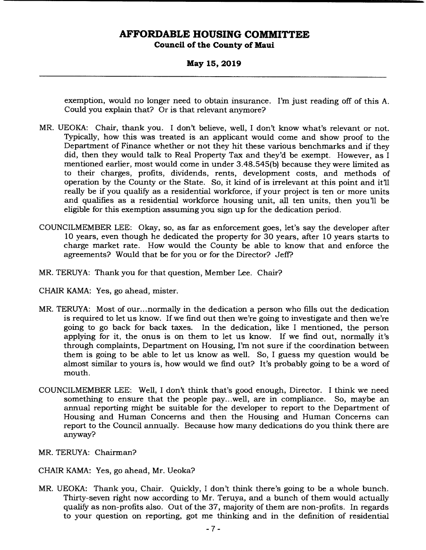**May 15, 2019** 

exemption, would no longer need to obtain insurance. I'm just reading off of this A. Could you explain that? Or is that relevant anymore?

- MR. UEOKA: Chair, thank you. I don't believe, well, I don't know what's relevant or not. Typically, how this was treated is an applicant would come and show proof to the Department of Finance whether or not they hit these various benchmarks and if they did, then they would talk to Real Property Tax and they'd be exempt. However, as I mentioned earlier, most would come in under 3.48.545(b) because they were limited as to their charges, profits, dividends, rents, development costs, and methods of operation by the County or the State. So, it kind of is irrelevant at this point and it'll really be if you qualify as a residential workforce, if your project is ten or more units and qualifies as a residential workforce housing unit, all ten units, then you'll be eligible for this exemption assuming you sign up for the dedication period.
- COUNCILMEMBER LEE: Okay, so, as far as enforcement goes, let's say the developer after 10 years, even though he dedicated the property for 30 years, after 10 years starts to charge market rate. How would the County be able to know that and enforce the agreements? Would that be for you or for the Director? Jeff'?
- MR. TERUYA: Thank you for that question, Member Lee. Chair?
- CHAIR KAMA: Yes, go ahead, mister.
- MR. TERUYA: Most of our... normally in the dedication a person who fills out the dedication is required to let us know. If we find out then we're going to investigate and then we're going to go back for back taxes. In the dedication, like I mentioned, the person applying for it, the onus is on them to let us know. If we find out, normally it's through complaints, Department on Housing, I'm not sure if the coordination between them is going to be able to let us know as well. So, I guess my question would be almost similar to yours is, how would we find out? It's probably going to be a word of mouth.
- COUNCILMEMBER LEE: Well, I don't think that's good enough, Director. I think we need something to ensure that the people pay...well, are in compliance. So, maybe an annual reporting might be suitable for the developer to report to the Department of Housing and Human Concerns and then the Housing and Human Concerns can report to the Council annually. Because how many dedications do you think there are anyway?
- MR. TERUYA: Chairman?
- CHAIR KAMA: Yes, go ahead, Mr. Ueoka?
- MR. UEOKA: Thank you, Chair. Quickly, I don't think there's going to be a whole bunch. Thirty-seven right now according to Mr. Teruya, and a bunch of them would actually qualify as non-profits also. Out of the 37, majority of them are non-profits. In regards to your question on reporting, got me thinking and in the definition of residential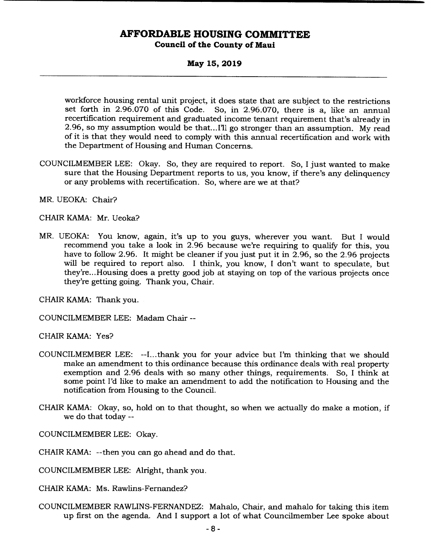**May 15, 2019** 

workforce housing rental unit project, it does state that are subject to the restrictions set forth in 2.96.070 of this Code. So, in 2.96.070, there is a, like an annual recertification requirement and graduated income tenant requirement that's already in 2.96, so my assumption would be that... I'll go stronger than an assumption. My read of it is that they would need to comply with this annual recertification and work with the Department of Housing and Human Concerns.

- COUNCILMEMBER LEE: Okay. So, they are required to report. So, I just wanted to make sure that the Housing Department reports to us, you know, if there's any delinquency or any problems with recertification. So, where are we at that?
- MR. UEOKA: Chair?
- CHAIR KAMA: Mr. Ueoka?
- MR. UEOKA: You know, again, it's up to you guys, wherever you want. But I would recommend you take a look in 2.96 because we're requiring to qualify for this, you have to follow 2.96. It might be cleaner if you just put it in 2.96, so the 2.96 projects will be required to report also. I think, you know, I don't want to speculate, but they're... Housing does a pretty good job at staying on top of the various projects once they're getting going. Thank you, Chair.

CHAIR KAMA: Thank you.

COUNCILMEMBER LEE: Madam Chair --

CHAIR KAMA: Yes?

- COUNCILMEMBER LEE: --I...thank you for your advice but I'm thinking that we should make an amendment to this ordinance because this ordinance deals with real property exemption and 2.96 deals with so many other things, requirements. So, I think at some point I'd like to make an amendment to add the notification to Housing and the notification from Housing to the Council.
- CHAIR KAMA: Okay, so, hold on to that thought, so when we actually do make a motion, if we do that today --

COUNCILMEMBER LEE: Okay.

CHAIR KAMA: --then you can go ahead and do that.

COUNCILMEMBER LEE: Alright, thank you.

CHAIR KAMA: Ms. Rawlins-Fernandez?

COUNCILMEMBER RAWLINS-FERNANDEZ: Mahalo, Chair, and mahalo for taking this item up first on the agenda. And I support a lot of what Councilmember Lee spoke about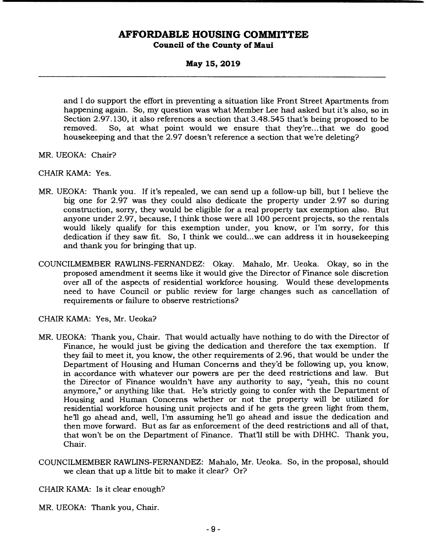**May 15, 2019** 

and I do support the effort in preventing a situation like Front Street Apartments from happening again. So, my question was what Member Lee had asked but it's also, so in Section 2.97.130, it also references a section that 3.48.545 that's being proposed to be removed. So, at what point would we ensure that they're... that we do good housekeeping and that the 2.97 doesn't reference a section that we're deleting?

- MR. UEOKA: Chair?
- CHAIR KAMA: Yes.
- MR. UEOKA: Thank you. If it's repealed, we can send up a follow-up bill, but I believe the big one for 2.97 was they could also dedicate the property under 2.97 so during construction, sorry, they would be eligible for a real property tax exemption also. But anyone under 2.97, because, I think those were all 100 percent projects, so the rentals would likely qualify for this exemption under, you know, or I'm sorry, for this dedication if they saw fit. So, I think we could.. .we can address it in housekeeping and thank you for bringing that up.
- COUNCILMEMBER RAWLINS-FERNANDEZ: Okay. Mahalo, Mr. Ueoka. Okay, so in the proposed amendment it seems like it would give the Director of Finance sole discretion over all of the aspects of residential workforce housing. Would these developments need to have Council or public review for large changes such as cancellation of requirements or failure to observe restrictions?

CHAIR KAMA: Yes, Mr. Ueoka?

- MR. UEOKA: Thank you, Chair. That would actually have nothing to do with the Director of Finance, he would just be giving the dedication and therefore the tax exemption. If they fail to meet it, you know, the other requirements of 2.96, that would be under the Department of Housing and Human Concerns and they'd be following up, you know, in accordance with whatever our powers are per the deed restrictions and law. But the Director of Finance wouldn't have any authority to say, "yeah, this no count anymore," or anything like that. He's strictly going to confer with the Department of Housing and Human Concerns whether or not the property will be utilized for residential workforce housing unit projects and if he gets the green light from them, he'll go ahead and, well, I'm assuming he'll go ahead and issue the dedication and then move forward. But as far as enforcement of the deed restrictions and all of that, that won't be on the Department of Finance. That'll still be with DHHC. Thank you, Chair.
- COUNCILMEMBER RAWLINS-FERNANDEZ: Mahalo, Mr. Ueoka. So, in the proposal, should we clean that up a little bit to make it clear? Or?

CHAIR KAMA: Is it clear enough?

MR. UEOKA: Thank you, Chair.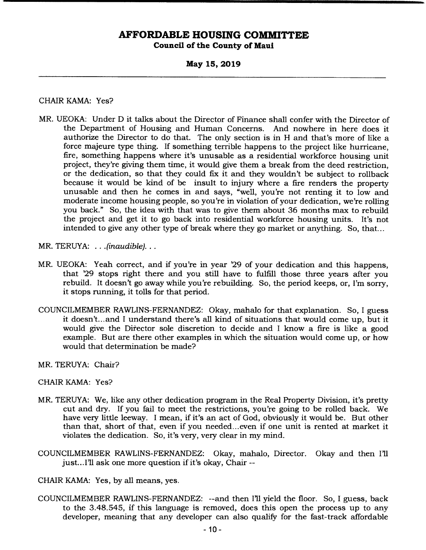#### **May 15, 2019**

#### CHAIR KAMA: Yes?

- MR. UEOKA: Under D it talks about the Director of Finance shall confer with the Director of the Department of Housing and Human Concerns. And nowhere in here does it authorize the Director to do that. The only section is in H and that's more of like a force majeure type thing. If something terrible happens to the project like hurricane, fire, something happens where it's unusable as a residential workforce housing unit project, they're giving them time, it would give them a break from the deed restriction, or the dedication, so that they could fix it and they wouldn't be subject to rollback because it would be kind of be insult to injury where a fire renders the property unusable and then he comes in and says, "well, you're not renting it to low and moderate income housing people, so you're in violation of your dedication, we're rolling you back." So, the idea with that was to give them about 36 months max to rebuild the project and get it to go back into residential workforce housing units. It's not intended to give any other type of break where they go market or anything. So, that...
- MR. TERUYA: . . . *(inaudible)...*
- MR. UEOKA: Yeah correct, and if you're in year '29 of your dedication and this happens, that '29 stops right there and you still have to fulfill those three years after you rebuild. It doesn't go away while you're rebuilding. So, the period keeps, or, I'm sorry, it stops running, it tolls for that period.
- COUNCILMEMBER RAWLINS-FERNANDEZ: Okay, mahalo for that explanation. So, I guess it doesn't... and I understand there's all kind of situations that would come up, but it would give the Director sole discretion to decide and I know a fire is like a good example. But are there other examples in which the situation would come up, or how would that determination be made?
- MR. TERUYA: Chair?
- CHAIR KAMA: Yes?
- MR. TERUYA: We, like any other dedication program in the Real Property Division, it's pretty cut and dry. If you fail to meet the restrictions, you're going to be rolled back. We have very little leeway. I mean, if it's an act of God, obviously it would be. But other than that, short of that, even if you needed... even if one unit is rented at market it violates the dedication. So, it's very, very clear in my mind.
- COUNCILMEMBER RAWLINS-FERNANDEZ: Okay, mahalo, Director. Okay and then Ill just... I'll ask one more question if it's okay, Chair --
- CHAIR KAMA: Yes, by all means, yes.
- COUNCILMEMBER RAWLINS-FERNANDEZ: --and then I'll yield the floor. So, I guess, back to the 3.48.545, if this language is removed, does this open the process up to any developer, meaning that any developer can also qualify for the fast-track affordable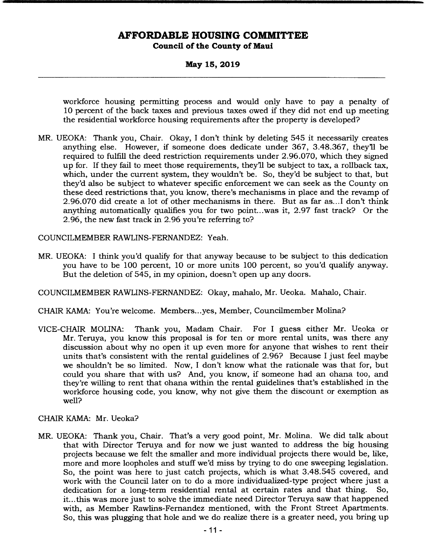**May 15, 2019** 

workforce housing permitting process and would only have to pay a penalty of 10 percent of the back taxes and previous taxes owed if they did not end up meeting the residential workforce housing requirements after the property is developed?

MR. UEOKA: Thank you, Chair. Okay, I don't think by deleting 545 it necessarily creates anything else. However, if someone does dedicate under 367, 3.48.367, they'll be required to fulfill the deed restriction requirements under 2.96.070, which they signed up for. If they fail to meet those requirements, they'll be subject to tax, a rollback tax, which, under the current system, they wouldn't be. So, they'd be subject to that, but they'd also be subject to whatever specific enforcement we can seek as the County on these deed restrictions that, you know, there's mechanisms in place and the revamp of 2.96.070 did create a lot of other mechanisms in there. But as far as.. .1 don't think anything automatically qualifies you for two point.. .was it, 2.97 fast track? Or the 2.96, the new fast track in 2.96 you're referring to?

COUNCILMEMBER RAWLINS-FERNANDEZ: Yeah.

MR. UEOKA: I think you'd qualify for that anyway because to be subject to this dedication you have to be 100 percent, 10 or more units 100 percent, so you'd qualify anyway. But the deletion of 545, in my opinion, doesn't open up any doors.

COUNCILMEMBER RAWLINS-FERNANDEZ: Okay, mahalo, Mr. Ueoka. Mahalo, Chair.

CHAIR KAMA: You're welcome. Members.. .yes, Member, Councilmember Molina?

VICE-CHAIR MOLINA: Thank you, Madam Chair. For I guess either Mr. Ueoka or Mr. Teruya, you know this proposal is for ten or more rental units, was there any discussion about why no open it up even more for anyone that wishes to rent their units that's consistent with the rental guidelines of 2.96? Because I just feel maybe we shouldn't be so limited. Now, I don't know what the rationale was that for, but could you share that with us? And, you know, if someone had an ohana too, and they're willing to rent that ohana within the rental guidelines that's established in the workforce housing code, you know, why not give them the discount or exemption as well?

#### CHAIR KAMA: Mr. Ueoka?

MR. UEOKA: Thank you, Chair. That's a very good point, Mr. Molina. We did talk about that with Director Teruya and for now we just wanted to address the big housing projects because we felt the smaller and more individual projects there would be, like, more and more loopholes and stuff we'd miss by trying to do one sweeping legislation. So, the point was here to just catch projects, which is what 3.48.545 covered, and work with the Council later on to do a more individualized-type project where just a dedication for a long-term residential rental at certain rates and that thing. So, it... this was more just to solve the immediate need Director Teruya saw that happened with, as Member Rawlins-Fernandez mentioned, with the Front Street Apartments. So, this was plugging that hole and we do realize there is a greater need, you bring up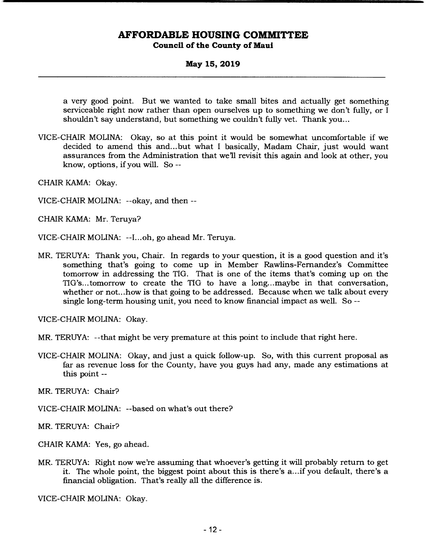**May 15, 2019** 

a very good point. But we wanted to take small bites and actually get something serviceable right now rather than open ourselves up to something we don't fully, or I shouldn't say understand, but something we couldn't fully vet. Thank you...

VICE-CHAIR MOLINA: Okay, so at this point it would be somewhat uncomfortable if we decided to amend this and... but what I basically, Madam Chair, just would want assurances from the Administration that we'll revisit this again and look at other, you know, options, if you will. So --

CHAIR KAMA: Okay.

VICE-CHAIR MOLINA: --okay, and then --

CHAIR KAMA: Mr. Teruya?

- VICE-CHAIR MOLINA: --I... oh, go ahead Mr. Teruya.
- MR. TERUYA: Thank you, Chair. In regards to your question, it is a good question and it's something that's going to come up in Member Rawlins-Fernandez's Committee tomorrow in addressing the TIG. That is one of the items that's coming up on the TIG's... tomorrow to create the TIG to have a long.., maybe in that conversation, whether or not... how is that going to be addressed. Because when we talk about every single long-term housing unit, you need to know financial impact as well. So --

VICE-CHAIR MOLINA: Okay.

MR. TERUYA: --that might be very premature at this point to include that right here.

VICE-CHAIR MOLINA: Okay, and just a quick follow-up. So, with this current proposal as far as revenue loss for the County, have you guys had any, made any estimations at this point --

MR. TERUYA: Chair?

VICE-CHAIR MOLINA: --based on what's out there?

MR. TERUYA: Chair?

CHAIR KAMA: Yes, go ahead.

MR. TERUYA: Right now we're assuming that whoever's getting it will probably return to get it. The whole point, the biggest point about this is there's a... if you default, there's a financial obligation. That's really all the difference is.

VICE-CHAIR MOLINA: Okay.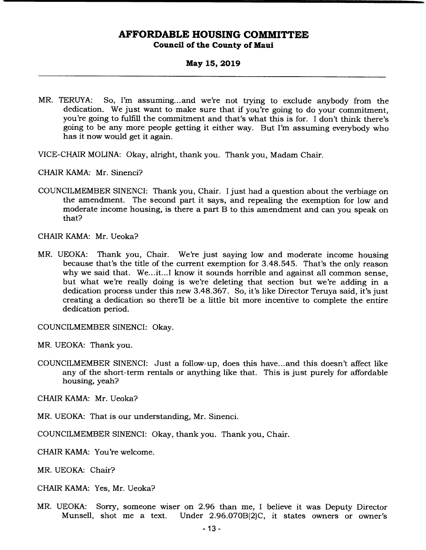#### **May 15, 2019**

- MR. TERUYA: So, I'm assuming... and we're not trying to exclude anybody from the dedication. We just want to make sure that if you're going to do your commitment, you're going to fulfill the commitment and that's what this is for. I don't think there's going to be any more people getting it either way. But I'm assuming everybody who has it now would get it again.
- VICE-CHAIR MOLINA: Okay, airight, thank you. Thank you, Madam Chair.

CHAIR KAMA: Mr. Sinenci?

COUNCILMEMBER SINENCI: Thank you, Chair. I just had a question about the verbiage on the amendment. The second part it says, and repealing the exemption for low and moderate income housing, is there a part B to this amendment and can you speak on that?

CHAIR KAMA: Mr. Ueoka?

MR. UEOKA: Thank you, Chair. We're just saying low and moderate income housing because that's the title of the current exemption for 3.48.545. That's the only reason why we said that. We...it...I know it sounds horrible and against all common sense, but what we're really doing is we're deleting that section but we're adding in a dedication process under this new 3.48.367. So, it's like Director Teruya said, it's just creating a dedication so there'll be a little bit more incentive to complete the entire dedication period.

COUNCILMEMBER SINENCI: Okay.

MR. UEOKA: Thank you.

COUNCILMEMBER SINENCI: Just a follow-up, does this have.., and this doesn't affect like any of the short-term rentals or anything like that. This is just purely for affordable housing, yeah?

CHAIR KAMA: Mr. Ueoka?

MR. UEOKA: That is our understanding, Mr. Sinenci.

COUNCILMEMBER SINENCI: Okay, thank you. Thank you, Chair.

CHAIR KAMA: You're welcome.

MR. UEOKA: Chair?

- CHAIR KAMA: Yes, Mr. Ueoka?
- MR. UEOKA: Sorry, someone wiser on 2.96 than me, I believe it was Deputy Director Under 2.96.070B(2)C, it states owners or owner's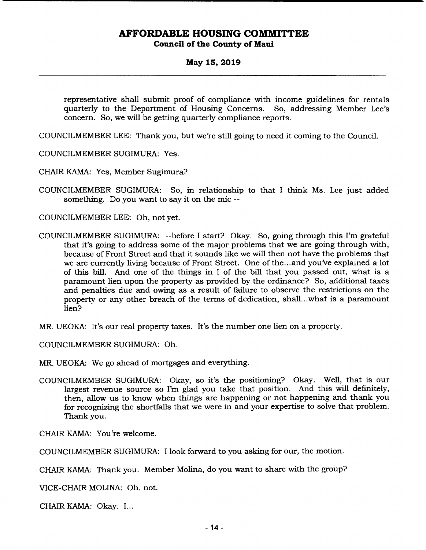#### **May 15, 2019**

representative shall submit proof of compliance with income guidelines for rentals quarterly to the Department of Housing Concerns. So, addressing Member Lee's concern. So, we will be getting quarterly compliance reports.

COUNCILMEMBER LEE: Thank you, but we're still going to need it coming to the Council.

COUNCILMEMBER SUGIMURA: Yes.

CHAIR KAMA: Yes, Member Sugimura?

COUNCILMEMBER SUGIMURA: So, in relationship to that I think Ms. Lee just added something. Do you want to say it on the mic --

COUNCILMEMBER LEE: Oh, not yet.

COUNCILMEMBER SUGIMURA: --before I start? Okay. So, going through this I'm grateful that it's going to address some of the major problems that we are going through with, because of Front Street and that it sounds like we will then not have the problems that we are currently living because of Front Street. One of the... and you've explained a lot of this bill. And one of the things in I of the bill that you passed out, what is a paramount lien upon the property as provided by the ordinance? So, additional taxes and penalties due and owing as a result of failure to observe the restrictions on the property or any other breach of the terms of dedication, shall...what is a paramount lien?

MR. UEOKA: It's our real property taxes. It's the number one lien on a property.

COUNCILMEMBER SUGIMURA: Oh.

MR. UEOKA: We go ahead of mortgages and everything.

COUNCILMEMBER SUGIMURA: Okay, so it's the positioning? Okay. Well, that is our largest revenue source so I'm glad you take that position. And this will definitely, then, allow us to know when things are happening or not happening and thank you for recognizing the shortfalls that we were in and your expertise to solve that problem. Thank you.

CHAIR KAMA: You're welcome.

COUNCILMEMBER SUGIMURA: I look forward to you asking for our, the motion.

CHAIR KAMA: Thank you. Member Molina, do you want to share with the group?

VICE-CHAIR MOLINA: Oh, not.

CHAIR KAMA: Okay. I...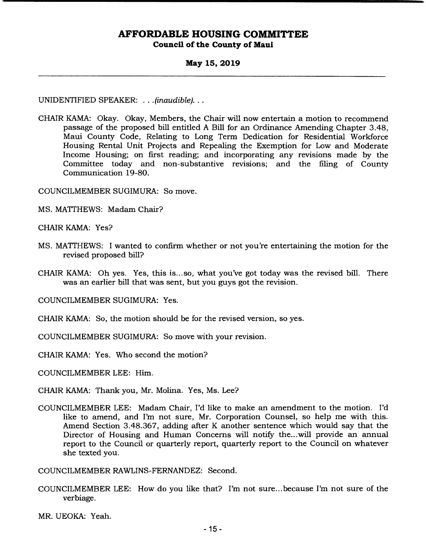#### **May 15, 2019**

UNIDENTIFIED SPEAKER: . . . *(inaudible)...* 

CHAIR KAMA: Okay. Okay, Members, the Chair will now entertain a motion to recommend passage of the proposed bill entitled A Bill for an Ordinance Amending Chapter 3.48, Maui County Code, Relating to Long Term Dedication for Residential Workforce Housing Rental Unit Projects and Repealing the Exemption for Low and Moderate Income Housing; on first reading; and incorporating any revisions made by the Committee today and non-substantive revisions; and the filing of County Communication 19-80.

COUNCILMEMBER SUGIMURA: So move.

MS. MATTHEWS: Madam Chair?

CHAIR KAMA: Yes?

- MS. MATTHEWS: I wanted to confirm whether or not you're entertaining the motion for the revised proposed bill?
- CHAIR KAMA: Oh yes. Yes, this is... so, what you've got today was the revised bill. There was an earlier bill that was sent, but you guys got the revision.

COUNCILMEMBER SUGIMURA: Yes.

- CHAIR KAMA: So, the motion should be for the revised version, so yes.
- COUNCILMEMBER SUGIMURA: So move with your revision.

CHAIR KAMA: Yes. Who second the motion?

COUNCILMEMBER LEE: Him.

CHAIR KAMA: Thank you, Mr. Molina. Yes, Ms. Lee?

COUNCILMEMBER LEE: Madam Chair, I'd like to make an amendment to the motion. I'd like to amend, and I'm not sure, Mr. Corporation Counsel, so help me with this. Amend Section 3.48.367, adding after K another sentence which would say that the Director of Housing and Human Concerns will notify the...will provide an annual report to the Council or quarterly report, quarterly report to the Council on whatever she texted you.

COUNCILMEMBER RAWLINS-FERNANDEZ: Second.

COUNCILMEMBER LEE: How do you like that? I'm not sure.. .because I'm not sure of the verbiage.

MR. UEOKA: Yeah.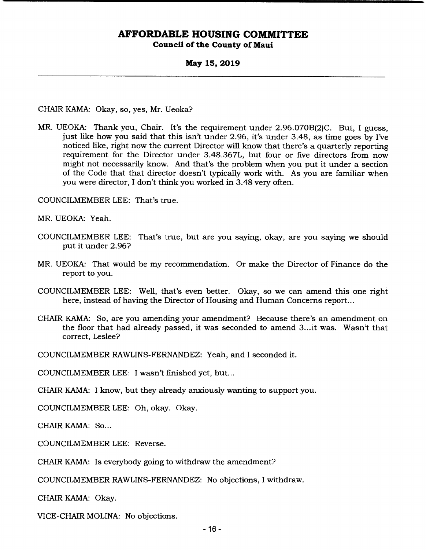**May 15, 2019** 

CHAIR KAMA: Okay, so, yes, Mr. Ueoka?

MR. UEOKA: Thank you, Chair. It's the requirement under 2.96.070B(2)C. But, I guess, just like how you said that this isn't under 2.96, it's under 3.48, as time goes by I've noticed like, right now the current Director will know that there's a quarterly reporting requirement for the Director under 3.48.367L, but four or five directors from now might not necessarily know. And that's the problem when you put it under a section of the Code that that director doesn't typically work with. As you are familiar when you were director, I don't think you worked in 3.48 very often.

COUNCILMEMBER LEE: That's true.

MR. UEOKA: Yeah.

- COUNCILMEMBER LEE: That's true, but are you saying, okay, are you saying we should put it under 2.96?
- MR. UEOKA: That would be my recommendation. Or make the Director of Finance do the report to you.
- COUNCILMEMBER LEE: Well, that's even better. Okay, so we can amend this one right here, instead of having the Director of Housing and Human Concerns report...
- CHAIR KAMA: So, are you amending your amendment? Because there's an amendment on the floor that had already passed, it was seconded to amend 3.. .it was. Wasn't that correct, Leslee?

COUNCILMEMBER RAWLINS-FERNANDEZ: Yeah, and I seconded it.

COUNCILMEMBER LEE: I wasn't finished yet, but...

CHAIR KAMA: I know, but they already anxiously wanting to support you.

COUNCILMEMBER LEE: Oh, okay. Okay.

CHAIR KAMA: So...

COUNCILMEMBER LEE: Reverse.

CHAIR KAMA: Is everybody going to withdraw the amendment?

COUNCILMEMBER RAWLINS-FERNANDEZ: No objections, I withdraw.

CHAIR KAMA: Okay.

VICE-CHAIR MOLINA: No objections.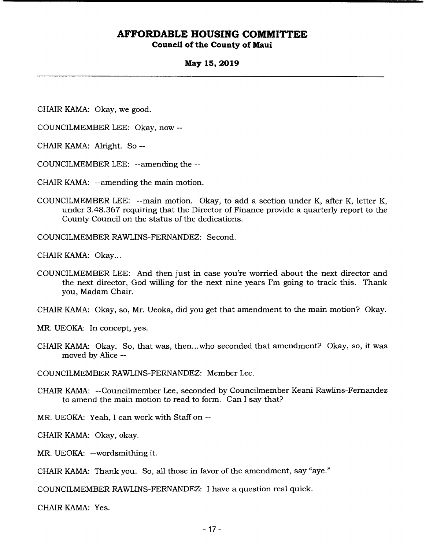#### **May 15, 2019**

CHAIR KAMA: Okay, we good.

COUNCILMEMBER LEE: Okay, now --

CHAIR KAMA: Alright. So --

COUNCILMEMBER LEE: --amending the --

CHAIR KAMA: --amending the main motion.

COUNCILMEMBER LEE: --main motion. Okay, to add a section under K, after K, letter K, under 3.48.367 requiring that the Director of Finance provide a quarterly report to the County Council on the status of the dedications.

COUNCILMEMBER RAWLINS-FERNANDEZ: Second.

CHAIR KAMA: Okay...

COUNCILMEMBER LEE: And then just in case you're worried about the next director and the next director, God willing for the next nine years I'm going to track this. Thank you, Madam Chair.

CHAIR KAMA: Okay, so, Mr. Ueoka, did you get that amendment to the main motion? Okay.

MR. UEOKA: In concept, yes.

CHAIR KAMA: Okay. So, that was, then.. .who seconded that amendment? Okay, so, it was moved by Alice --

COUNCILMEMBER RAWLINS-FERNANDEZ: Member Lee.

CHAIR KAMA: --Councilmember Lee, seconded by Councilmember Keani Rawlins-Fernandez to amend the main motion to read to form. Can I say that?

MR. UEOKA: *Yeah,* I can work with Staff on --

CHAIR KAMA: Okay, okay.

MR. UEOKA: --wordsmithing it.

CHAIR KAMA: Thank you. So, all those in favor of the amendment, say "aye."

COUNCILMEMBER RAWLINS-FERNANDEZ: I have a question real quick.

CHAIR KAMA: Yes.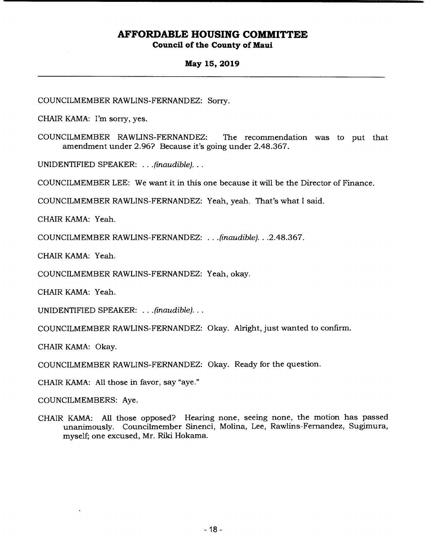### **May 15, 2019**

COUNCILMEMBER RAWLINS-FERNANDEZ: Sorry.

CHAIR KAMA: I'm sorry, yes.

COUNCILMEMBER RAWLINS-FERNANDEZ: The recommendation was to put that amendment under 2.96? Because it's going under 2.48.367.

UNIDENTIFIED SPEAKER: . . . *(inaudible)...* 

COUNCILMEMBER LEE: We want it in this one because it will be the Director of Finance.

COUNCILMEMBER RAWLINS-FERNANDEZ: Yeah, yeah. That's what I said.

CHAIR KAMA: Yeah.

COUNCILMEMBER RAWLINS-FERNANDEZ: . *.(inaudible). . .*2.48.367.

CHAIR KAMA: Yeah.

COUNCILMEMBER RAWLINS-FERNANDEZ: Yeah, okay.

CHAIR KAMA: Yeah.

UNIDENTIFIED SPEAKER: . . . *(inaudible)...* 

COUNCILMEMBER RAWLINS-FERNANDEZ: Okay. Alright, just wanted to confirm.

CHAIR KAMA: Okay.

COUNCILMEMBER RAWLINS-FERNANDEZ: Okay. Ready for the question.

CHAIR KAMA: All those in favor, say "aye."

COUNCILMEMBERS: Aye.

CHAIR KAMA: All those opposed? Hearing none, seeing none, the motion has passed unanimously. Councilmember Sinenci, Molina, Lee, Rawlins-Fernandez, Sugimura, myself; one excused, Mr. Riki Hokama.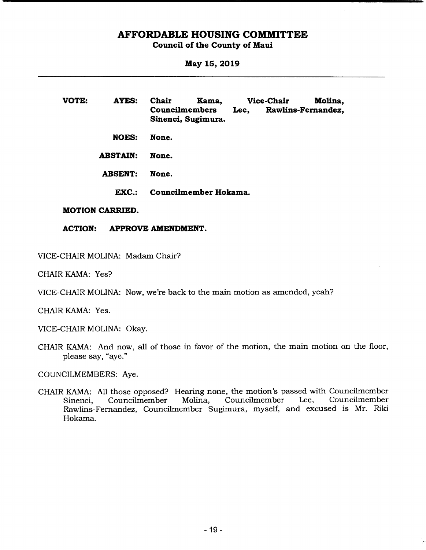## **AFFORDABLE HOUSING COMMITTEE**

#### **Council of the County of Maui**

**May 15, 2019** 

**VOTE: AYES: Chair Kama, Councilmembers Sinenci, Sugimura. NOES: None. ABSTAIN: None. ABSENT: None. Vice-Chair Molina, Lee, Rawlins-Fernandez, EXC.: Councilmember Hokama.** 

#### **MOTION CARRIED.**

**ACTION: APPROVE AMENDMENT.** 

VICE-CHAIR MOLINA: Madam Chair?

CHAIR KAMA: Yes?

VICE-CHAIR MOLINA: Now, we're back to the main motion as amended, yeah?

CHAIR KAMA: Yes.

VICE-CHAIR MOLINA: Okay.

CHAIR KAMA: And now, all of those in favor of the motion, the main motion on the floor, please say, "aye."

COUNCILMEMBERS: Aye.

CHAIR KAMA: All those opposed? Hearing none, the motion's passed with Councilmember Sinenci, Councilmember Molina, Councilmember Rawlins-Fernandez, Councilmember Sugimura, myself, and excused is Mr. Riki Hokama.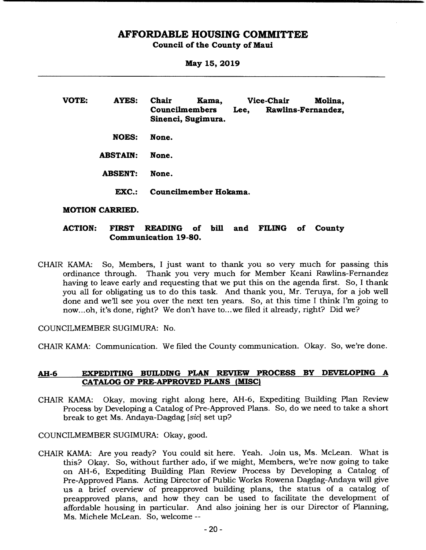### **AFFORDABLE HOUSING COMMITTEE**

#### **Council of the County of Maui**

**May 15, 2019** 

**VOTE: AYES: Chair Kama, Vice-Chair Molina, Councilmembers Lee, Rawlins-Fernandez, Sinenci, Sugimura. NOES: None. ABSTAIN: None. ABSENT: None. EXC.: Councilmember Hokama.** 

#### **MOTION CARRIED.**

### **ACTION: FIRST READING of bill and FILING of County Communication 19-80.**

CHAIR KAMA: So, Members, I just want to thank you so very much for passing this ordinance through. Thank you very much for Member Keani Rawlins-Fernandez having to leave early and requesting that we put this on the agenda first. So, I thank you all for obligating us to do this task. And thank you, Mr. Teruya, for a job well done and we'll see you over the next ten years. So, at this time I think I'm going to now... oh, it's done, right? We don't have to.. .we filed it already, right? Did we?

COUNCILMEMBER SUGIMURA: No.

CHAIR KAMA: Communication. We filed the County communication. Okay. So, we're done.

#### **AH-6 EXPEDITING BUILDING PLAN REVIEW PROCESS BY DEVELOPING A CATALOG OF PRE-APPROVED PLANS (MISC)**

CHAIR KAMA: Okay, moving right along here, AH-6, Expediting Building Plan Review Process by Developing a Catalog of Pre-Approved Plans. So, do we need to take a short break to get Ms. Andaya-Dagdag *[sic]* set up?

COUNCILMEMBER SUGIMURA: Okay, good.

CHAIR KAMA: Are you ready? You could sit here. Yeah. Join us, Ms. McLean. What is this? Okay. So, without further ado, if we might, Members, we're now going to take on AH-6, Expediting Building Plan Review Process by Developing a Catalog of Pre-Approved Plans. Acting Director of Public Works Rowena Dagdag-Andaya will give us a brief overview of preapproved building plans, the status of a catalog of preapproved plans, and how they can be used to facilitate the development of affordable housing in particular. And also joining her is our Director of Planning, Ms. Michele McLean. So, welcome --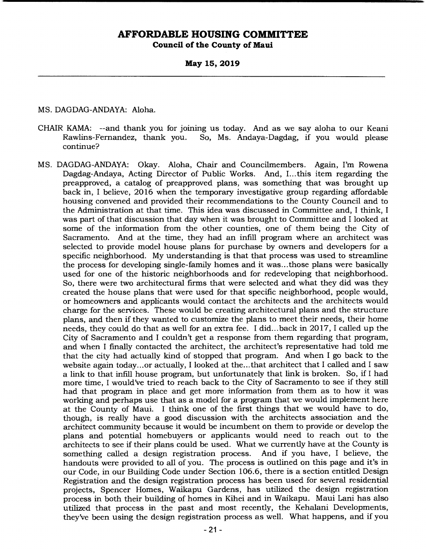**May 15, 2019** 

MS. DAGDAG-ANDAYA: Aloha.

- CHAIR KAMA: --and thank you for joining us today. And as we say aloha to our Keani So, Ms. Andaya-Dagdag, if you would please continue?
- MS. DAGDAG-ANDAYA: Okay. Aloha, Chair and Councilmembers. Again, I'm Rowena Dagdag-Andaya, Acting Director of Public Works. And, I... this item regarding the preapproved, a catalog of preapproved plans, was something that was brought up back in, I believe, 2016 when the temporary investigative group regarding affordable housing convened and provided their recommendations to the County Council and to the Administration at that time. This idea was discussed in Committee and, I think, I was part of that discussion that day when it was brought to Committee and I looked at some of the information from the other counties, one of them being the City of Sacramento. And at the time, they had an infill program where an architect was selected to provide model house plans for purchase by owners and developers for a specific neighborhood. My understanding is that that process was used to streamline the process for developing single-family homes and it was... those plans were basically used for one of the historic neighborhoods and for redeveloping that neighborhood. So, there were two architectural firms that were selected and what they did was they created the house plans that were used for that specific neighborhood, people would, or homeowners and applicants would contact the architects and the architects would charge for the services. These would be creating architectural plans and the structure plans, and then if they wanted to customize the plans to meet their needs, their home needs, they could do that as well for an extra fee. I did.. .back in 2017, I called up the City of Sacramento and I couldn't get a response from them regarding that program, and when I finally contacted the architect, the architect's representative had told me that the city had actually kind of stopped that program. And when I go back to the website again today... or actually, I looked at the... that architect that I called and I saw a link to that infill house program, but unfortunately that link is broken. So, if I had more time, I would've tried to reach back to the City of Sacramento to see if they still had that program in place and get more information from them as to how it was working and perhaps use that as a model for a program that we would implement here at the County of Maui. I think one of the first things that we would have to do, though, is really have a good discussion with the architects association and the architect community because it would be incumbent on them to provide or develop the plans and potential homebuyers or applicants would need to reach out to the architects to see if their plans could be used. What we currently have at the County is something called a design registration process. And if you have, I believe, the handouts were provided to all of you. The process is outlined on this page and it's in our Code, in our Building Code under Section 106.6, there is a section entitled Design Registration and the design registration process has been used for several residential projects, Spencer Homes, Waikapu Gardens, has utilized the design registration process in both their building of homes in Kihei and in Waikapu. Maui Lani has also utilized that process in the past and most recently, the Kehalani Developments, they've been using the design registration process as well. What happens, and if you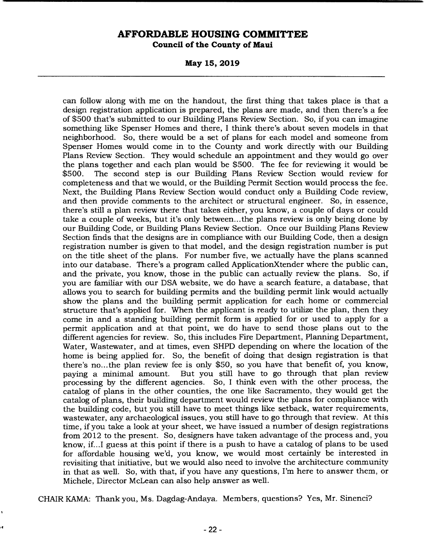**May 15, 2019** 

can follow along with me on the handout, the first thing that takes place is that a design registration application is prepared, the plans are made, and then there's a fee of \$500 that's submitted to our Building Plans Review Section. So, if you can imagine something like Spenser Homes and there, I think there's about seven models in that neighborhood. So, there would be a set of plans for each model and someone from Spenser Homes would come in to the County and work directly with our Building Plans Review Section. They would schedule an appointment and they would go over the plans together and each plan would be \$500. The fee for reviewing it would be \$500. The second step is our Building Plans Review Section would review for completeness and that we would, or the Building Permit Section would process the fee. Next, the Building Plans Review Section would conduct only a Building Code review, and then provide comments to the architect or structural engineer. So, in essence, there's still a plan review there that takes either, you know, a couple of days or could take a couple of weeks, but it's only between... the plans review is only being done by our Building Code, or Building Plans Review Section. Once our Building Plans Review Section finds that the designs are in compliance with our Building Code, then a design registration number is given to that model, and the design registration number is put on the title sheet of the plans. For number five, we actually have the plans scanned into our database. There's a program called ApplicationXtender where the public can, and the private, you know, those in the public can actually review the plans. So, if you are familiar with our DSA website, we do have a search feature, a database, that allows you to search for building permits and the building permit link would actually show the plans and the building permit application for each home or commercial structure that's applied for. When the applicant is ready to utilize the plan, then they come in and a standing building permit form is applied for or used to apply for a permit application and at that point, we do have to send those plans out to the different agencies for review. So, this includes Fire Department, Planning Department, Water, Wastewater, and at times, even SHPD depending on where the location of the home is being applied for. So, the benefit of doing that design registration is that there's no... the plan review fee is only \$50, so you have that benefit of, you know, paying a minimal amount. But you still have to go through that plan review processing by the different agencies. So, I think even with the other process, the catalog of plans in the other counties, the one like Sacramento, they would get the catalog of plans, their building department would review the plans for compliance with the building code, but you still have to meet things like setback, water requirements, wastewater, any archaeological issues, you still have to go through that review. At this time, if you take a look at your sheet, we have issued a number of design registrations from 2012 to the present. So, designers have taken advantage of the process and, you know, if.. .1 guess at this point if there is a push to have a catalog of plans to be used for affordable housing we'd, you know, we would most certainly be interested in revisiting that initiative, but we would also need to involve the architecture community in that as well. So, with that, if you have any questions, I'm here to answer them, or Michele, Director McLean can also help answer as well.

CHAIR KAMA: Thank you, Ms. Dagdag-Andaya. Members, questions? Yes, Mr. Sinenci?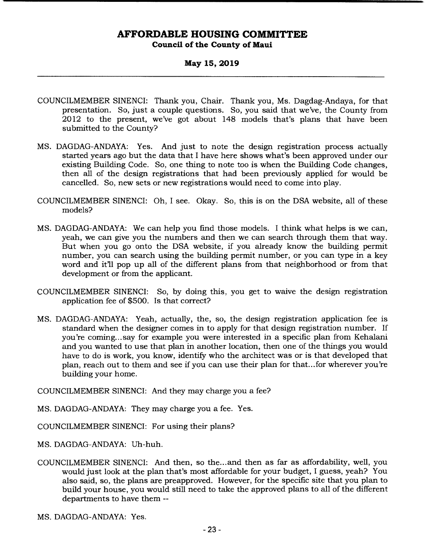### **May 15, 2019**

- COUNCILMEMBER SINENCI: Thank you, Chair. Thank you, Ms. Dagdag-Andaya, for that presentation. So, just a couple questions. So, you said that we've, the County from 2012 to the present, we've got about 148 models that's plans that have been submitted to the County?
- MS. DAGDAG-ANDAYA: Yes. And just to note the design registration process actually started years ago but the data that I have here shows what's been approved under our existing Building Code. So, one thing to note too is when the Building Code changes, then all of the design registrations that had been previously applied for would be cancelled. So, new sets or new registrations would need to come into play.
- COUNCILMEMBER SINENCI: Oh, I see. Okay. So, this is on the DSA website, all of these models?
- MS. DAGDAG-ANDAYA: We can help you find those models. I think what helps is we can, yeah, we can give you the numbers and then we can search through them that way. But when you go onto the DSA website, if you already know the building permit number, you can search using the building permit number, or you can type in a key word and it'll pop up all of the different plans from that neighborhood or from that development or from the applicant.
- COUNCILMEMBER SINENCI: So, by doing this, you get to waive the design registration application fee of \$500. Is that correct?
- MS. DAGDAG-ANDAYA: Yeah, actually, the, so, the design registration application fee is standard when the designer comes in to apply for that design registration number. If you're coming... say for example you were interested in a specific plan from Kehalani and you wanted to use that plan in another location, then one of the things you would have to do is work, you know, identify who the architect was or is that developed that plan, reach out to them and see if you can use their plan for that.. .for wherever you're building your home.

COUNCILMEMBER SINENCI: And they may charge you a fee?

MS. DAGDAG-ANDAYA: They may charge you a fee. Yes.

COUNCILMEMBER SINENCI: For using their plans?

MS. DAGDAG-ANDAYA: Uh-huh.

COUNCILMEMBER SINENCI: And then, so the... and then as far as affordability, well, you would just look at the plan that's most affordable for your budget, I guess, yeah? You also said, so, the plans are preapproved. However, for the specific site that you plan to build your house, you would still need to take the approved plans to all of the different departments to have them --

MS. DAGDAG-ANDAYA: Yes.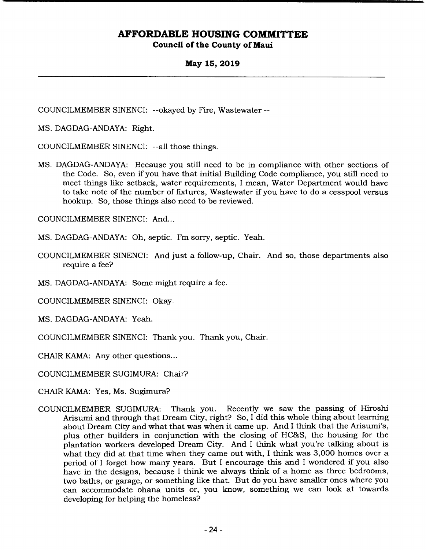### **May 15, 2019**

COUNCILMEMBER SINENCI: --okayed by Fire, Wastewater --

MS. DAGDAG-ANDAYA: Right.

COUNCILMEMBER SINENCI: --all those things.

MS. DAGDAG-ANDAYA: Because you still need to be in compliance with other sections of the Code. So, even if you have that initial Building Code compliance, you still need to meet things like setback, water requirements, I mean, Water Department would have to take note of the number of fixtures, Wastewater if you have to do a cesspool versus hookup. So, those things also need to be reviewed.

COUNCILMEMBER SINENCI: And...

MS. DAGDAG-ANDAYA: Oh, septic. I'm sorry, septic. Yeah.

- COUNCILMEMBER SINENCI: And just a follow-up, Chair. And so, those departments also require a fee?
- MS. DAGDAG-ANDAYA: Some might require a fee.

COUNCILMEMBER SINENCI: Okay.

- MS. DAGDAG-ANDAYA: Yeah.
- COUNCILMEMBER SINENCI: Thank you. Thank you, Chair.
- CHAIR KAMA: Any other questions...

COUNCILMEMBER SUGIMURA: Chair?

- CHAIR KAMA: Yes, Ms. Sugimura?
- COUNCILMEMBER SUGIMURA: Thank you. Recently we saw the passing of Hiroshi Arisumi and through that Dream City, right? So, I did this whole thing about learning about Dream City and what that was when it came up. And I think that the Arisumi's, plus other builders in conjunction with the closing of HC&S, the housing for the plantation workers developed Dream City. And I think what you're talking about is what they did at that time when they came out with, I think was 3,000 homes over a period of I forget how many years. But I encourage this and I wondered if you also have in the designs, because I think we always think of a home as three bedrooms, two baths, or garage, or something like that. But do you have smaller ones where you can accommodate ohana units or, you know, something we can look at towards developing for helping the homeless?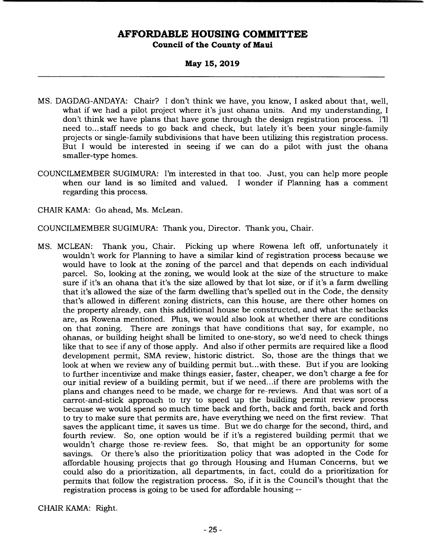### **May 15, 2019**

- MS. DAGDAG-ANDAYA: Chair? I don't think we have, you know, I asked about that, well, what if we had a pilot project where it's just ohana units. And my understanding, I don't think we have plans that have gone through the design registration process. I'll need to... staff needs to go back and check, but lately it's been your single-family projects or single-family subdivisions that have been utilizing this registration process. But I would be interested in seeing if we can do a pilot with just the ohana smaller-type homes.
- COUNCILMEMBER SUGIMURA: I'm interested in that too. Just, you can help more people when our land is so limited and valued. I wonder if Planning has a comment regarding this process.
- CHAIR KAMA: Go ahead, Ms. McLean.

COUNCILMEMBER SUGIMURA: Thank you, Director. Thank you, Chair.

MS. MCLEAN: Thank you, Chair. Picking up where Rowena left off, unfortunately it wouldn't work for Planning to have a similar kind of registration process because we would have to look at the zoning of the parcel and that depends on each individual parcel. So, looking at the zoning, we would look at the size of the structure to make sure if it's an ohana that it's the size allowed by that lot size, or if it's a farm dwelling that it's allowed the size of the farm dwelling that's spelled out in the Code, the density that's allowed in different zoning districts, can this house, are there other homes on the property already, can this additional house be constructed, and what the setbacks are, as Rowena mentioned. Plus, we would also look at whether there are conditions on that zoning. There are zonings that have conditions that say, for example, no ohanas, or building height shall be limited to one-story, so we'd need to check things like that to see if any of those apply. And also if other permits are required like a flood development permit, SMA review, historic district. So, those are the things that we look at when we review any of building permit but...with these. But if you are looking to further incentivize and make things easier, faster, cheaper, we don't charge a fee for our initial review of a building permit, but if we need.. .if there are problems with the plans and changes need to be made, we charge for re-reviews. And that was sort of a carrot-and-stick approach to try to speed up the building permit review process because we would spend so much time back and forth, back and forth, back and forth to try to make sure that permits are, have everything we need on the first review. That saves the applicant time, it saves us time. But we do charge for the second, third, and fourth review. So, one option would be if it's a registered building permit that we wouldn't charge those re-review fees. So, that might be an opportunity for some savings. Or there's also the prioritization policy that was adopted in the Code for affordable housing projects that go through Housing and Human Concerns, but we could also do a prioritization, all departments, in fact, could do a prioritization for permits that follow the registration process. So, if it is the Council's thought that the registration process is going to be used for affordable housing --

CHAIR KAMA: Right.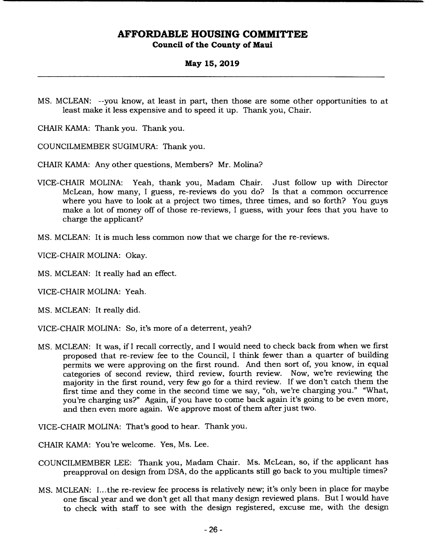### **May 15, 2019**

MS. MCLEAN: --you know, at least in part, then those are some other opportunities to at least make it less expensive and to speed it up. Thank you, Chair.

CHAIR KAMA: Thank you. Thank you.

COUNCILMEMBER SUGIMURA: Thank you.

CHAIR KAMA: Any other questions, Members? Mr. Molina?

- VICE-CHAIR MOLINA: Yeah, thank you, Madam Chair. Just follow up with Director McLean, how many, I guess, re-reviews do you do? Is that a common occurrence where you have to look at a project two times, three times, and so forth? You guys make a lot of money off of those re-reviews, I guess, with your fees that you have to charge the applicant?
- MS. MCLEAN: It is much less common now that we charge for the re-reviews.

VICE-CHAIR MOLINA: Okay.

MS. MCLEAN: It really had an effect.

VICE-CHAIR MOLINA: Yeah.

MS. MCLEAN: It really did.

VICE-CHAIR MOLINA: So, it's more of a deterrent, yeah?

MS. MCLEAN: It was, if I recall correctly, and I would need to check back from when we first proposed that re-review fee to the Council, I think fewer than a quarter of building permits we were approving on the first round. And then sort of, you know, in equal categories of second review, third review, fourth review. Now, we're reviewing the majority in the first round, very few go for a third review. If we don't catch them the first time and they come in the second time we say, "oh, we're charging you." "What, you're charging us?" Again, if you have to come back again it's going to be even more, and then even more again. We approve most of them after just two.

VICE-CHAIR MOLINA: That's good to hear. Thank you.

CHAIR KAMA: You're welcome. Yes, Ms. Lee.

- COUNCILMEMBER LEE: Thank you, Madam Chair. Ms. McLean, so, if the applicant has preapproval on design from DSA, do the applicants still go back to you multiple times?
- MS. MCLEAN: I.. .the re-review fee process is relatively new; it's only been in place for maybe one fiscal year and we don't get all that many design reviewed plans. But I would have to check with staff to see with the design registered, excuse me, with the design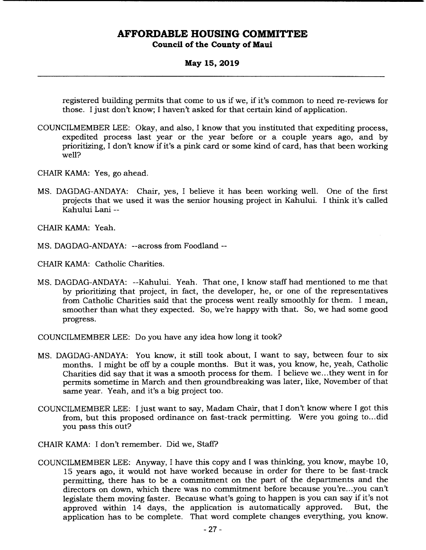### **May 15, 2019**

registered building permits that come to us if we, if it's common to need re-reviews for those. I just don't know; I haven't asked for that certain kind of application.

- COUNCILMEMBER LEE: Okay, and also, I know that you instituted that expediting process, expedited process last year or the year before or a couple years ago, and by prioritizing, I don't know if it's a pink card or some kind of card, has that been working well?
- CHAIR KAMA: Yes, go ahead.
- MS. DAGDAG-ANDAYA: Chair, yes, I believe it has been working well. One of the first projects that we used it was the senior housing project in Kahului. I think it's called Kahului Lani --

CHAIR KAMA: Yeah.

MS. DAGDAG-ANDAYA: --across from Foodland --

CHAIR KAMA: Catholic Charities.

MS. DAGDAG-ANDAYA: --Kahului. Yeah. That one, I know staff had mentioned to me that by prioritizing that project, in fact, the developer, he, or one of the representatives from Catholic Charities said that the process went really smoothly for them. I mean, smoother than what they expected. So, we're happy with that. So, we had some good progress.

COUNCILMEMBER LEE: Do you have any idea how long it took?

- MS. DAGDAG-ANDAYA: You know, it still took about, I want to say, between four to six months. I might be off by a couple months. But it was, you know, he, yeah, Catholic Charities did say that it was a smooth process for them. I believe we.. .they went in for permits sometime in March and then groundbreaking was later, like, November of that same year. Yeah, and it's a big project too.
- COUNCILMEMBER LEE: I just want to say, Madam Chair, that I don't know where I got this from, but this proposed ordinance on fast-track permitting. Were you going to... did you pass this out?
- CHAIR KAMA: I don't remember. Did we, Staff?
- COUNCILMEMBER LEE: Anyway, I have this copy and I was thinking, you know, maybe 10, 15 years ago, it would not have worked because in order for there to be fast-track permitting, there has to be a commitment on the part of the departments and the directors on down, which there was no commitment before because you're.. .you can't legislate them moving faster. Because what's going to happen is you can say if it's not approved within 14 days, the application is automatically approved. But, the application has to be complete. That word complete changes everything, you know.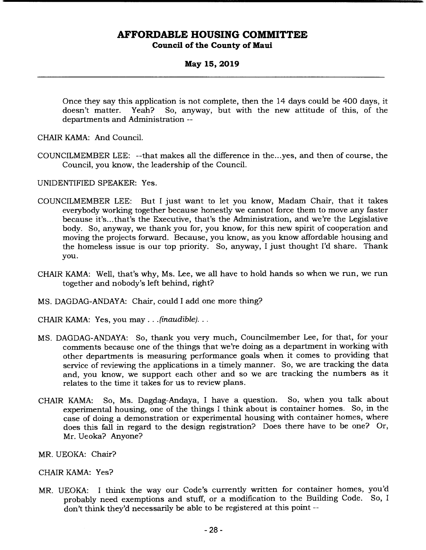#### **May 15, 2019**

Once they say this application is not complete, then the 14 days could be 400 days, it doesn't matter. Yeah? So, anyway, but with the new attitude of this, of the departments and Administration --

CHAIR KAMA: And Council.

COUNCILMEMBER LEE: --that makes all the difference in the.. .yes, and then of course, the Council, you know, the leadership of the Council.

UNIDENTIFIED SPEAKER: Yes.

- COUNCILMEMBER LEE: But I just want to let you know, Madam Chair, that it takes everybody working together because honestly we cannot force them to move any faster because it's.. .that's the Executive, that's the Administration, and we're the Legislative body. So, anyway, we thank you for, you know, for this new spirit of cooperation and moving the projects forward. Because, you know, as you know affordable housing and the homeless issue is our top priority. So, anyway, I just thought I'd share. Thank you.
- CHAIR KAMA: Well, that's why, Ms. Lee, we all have to hold hands so when we run, we run together and nobody's left behind, right?
- MS. DAGDAG-ANDAYA: Chair, could I add one more thing?
- CHAIR KAMA: Yes, you may. . . *(inaudible)...*
- MS. DAGDAG-ANDAYA: So, thank you very much, Councilmember Lee, for that, for your comments because one of the things that we're doing as a department in working with other departments is measuring performance goals when it comes to providing that service of reviewing the applications in a timely manner. So, we are tracking the data and, you know, we support each other and so we are tracking the numbers as it relates to the time it takes for us to review plans.
- CHAIR KAMA: So, Ms. Dagdag-Andaya, I have a question. So, when you talk about experimental housing, one of the things I think about is container homes. So, in the case of doing a demonstration or experimental housing with container homes, where does this fall in regard to the design registration? Does there have to be one? Or, Mr. Ueoka? Anyone?
- MR. UEOKA: Chair?

#### CHAIR KAMA: Yes?

MR. UEOKA: I think the way our Code's currently written for container homes, you'd probably need exemptions and stuff, or a modification to the Building Code. So, I don't think they'd necessarily be able to be registered at this point --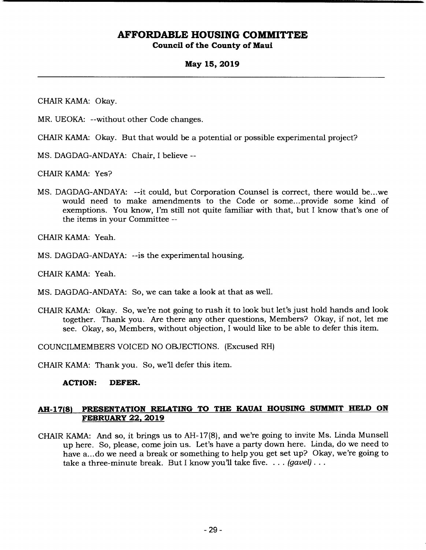### **May 15, 2019**

CHAIR KAMA: Okay.

MR. UEOKA: --without other Code changes.

CHAIR KAMA: Okay. But that would be a potential or possible experimental project?

MS. DAGDAG-ANDAYA: Chair, I believe --

CHAIR KAMA: Yes?

MS. DAGDAG-ANDAYA: --it could, but Corporation Counsel is correct, there would be.. .we would need to make amendments to the Code or some... provide some kind of exemptions. You know, I'm still not quite familiar with that, but I know that's one of the items in your Committee --

CHAIR KAMA: Yeah.

MS. DAGDAG-ANDAYA: --is the experimental housing.

CHAIR KAMA: Yeah.

MS. DAGDAG-ANDAYA: So, we can take a look at that as well.

CHAIR KAMA: Okay. So, we're not going to rush it to look but let's just hold hands and look together. Thank you. Are there any other questions, Members? Okay, if not, let me see. Okay, so, Members, without objection, I would like to be able to defer this item.

COUNCILMEMBERS VOICED NO OBJECTIONS. (Excused RH)

CHAIR KAMA: Thank you. So, we'll defer this item.

#### **ACTION: DEFER.**

### **AH-17(8) PRESENTATION RELATING TO THE KAUAI HOUSING SUMMIT HELD ON FEBRUARY 22, 2019**

CHAIR KAMA: And so, it brings us to AR- 17(8), and we're going to invite Ms. Linda Munsell up here. So, please, come join us. Let's have a party down here. Linda, do we need to have a... do we need a break or something to help you get set up? Okay, we're going to take a three-minute break. But I know you'll take five. .. . (*gavel).*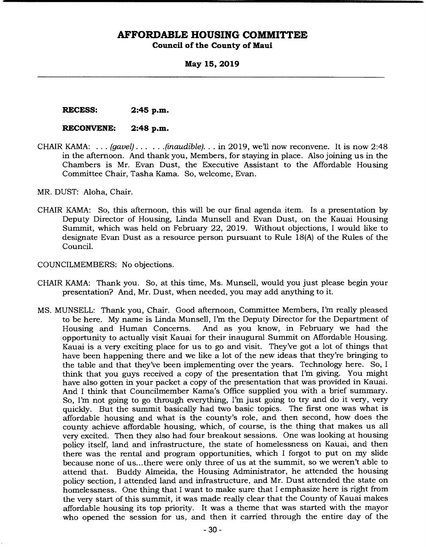**May 15, 2019** 

**RECESS: 2:45 p.m.** 

#### **RECONVENE: 2:48 p.m.**

CHAIR KAMA: . . . *(gavel)... ...(inaudible). . .* in 2019, well now reconvene. It is now 2:48 in the afternoon. And thank you, Members, for staying in place. Also joining us in the Chambers is Mr. Evan Dust, the Executive Assistant to the Affordable Housing Committee Chair, Tasha Kama. So, welcome, Evan.

MR. DUST: Aloha, Chair.

- CHAIR KAMA: So, this afternoon, this will be our final agenda item. Is a presentation by Deputy Director of Housing, Linda Munsell and Evan Dust, on the Kauai Housing Summit, which was held on February 22, 2019. Without objections, I would like to designate Evan Dust as a resource person pursuant to Rule 18(A) of the Rules of the Council.
- COUNCILMEMBERS: No objections.
- CHAIR KAMA: Thank you. So, at this time, Ms. Munsell, would you just please begin your presentation? And, Mr. Dust, when needed, you may add anything to it.
- MS. MUNSELL: Thank you, Chair. Good afternoon, Committee Members, I'm really pleased to be here. My name is Linda Munsell, I'm the Deputy Director for the Department of Housing and Human Concerns. And as you know, in February we had the opportunity to actually visit Kauai for their inaugural Summit on Affordable Housing. Kauai is a very exciting place for us to go and visit. They've got a lot of things that have been happening there and we like a lot of the new ideas that they're bringing to the table and that they've been implementing over the years. Technology here. So, I think that you guys received a copy of the presentation that I'm giving. You might have also gotten in your packet a copy of the presentation that was provided in Kauai. And I think that Councilmember Kama's Office supplied you with a brief summary. So, I'm not going to go through everything, I'm just going to try and do it very, very quickly. But the summit basically had two basic topics. The first one was what is affordable housing and what is the county's role, and then second, how does the county achieve affordable housing, which, of course, is the thing that makes us all very excited. Then they also had four breakout sessions. One was looking at housing policy itself, land and infrastructure, the state of homelessness on Kauai, and then there was the rental and program opportunities, which I forgot to put on my slide because none of us... there were only three of us at the summit, so we weren't able to attend that. Buddy Almeida, the Housing Administrator, he attended the housing policy section, I attended land and infrastructure, and Mr. Dust attended the state on homelessness. One thing that I want to make sure that I emphasize here is right from the very start of this summit, it was made really clear that the County of Kauai makes affordable housing its top priority. It was a theme that was started with the mayor who opened the session for us, and then it carried through the entire day of the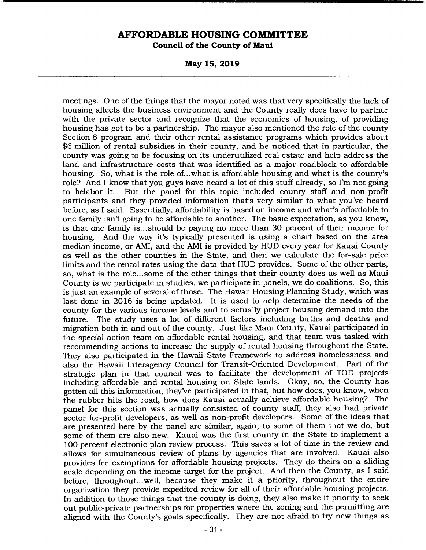**May 15, 2019** 

meetings. One of the things that the mayor noted was that very specifically the lack of housing affects the business environment and the County really does have to partner with the private sector and recognize that the economics of housing, of providing housing has got to be a partnership. The mayor also mentioned the role of the county Section 8 program and their other rental assistance programs which provides about \$6 million of rental subsidies in their county, and he noticed that in particular, the county was going to be focusing on its underutilized real estate and help address the land and infrastructure costs that was identified as a major roadblock to affordable housing. So, what is the role of.. .what is affordable housing and what is the county's role? And I know that you guys have heard a lot of this stuff already, so I'm not going to belabor it. But the panel for this topic included county staff and non-profit participants and they provided information that's very similar to what you've heard before, as I said. Essentially, affordability is based on income and what's affordable to one family isn't going to be affordable to another. The basic expectation, as you know, is that one family is... should be paying no more than 30 percent of their income for housing. And the way it's typically presented is using a chart based on the area median income, or AMI, and the AMI is provided by HUD every year for Kauai County as well as the other counties in the State, and then we calculate the for-sale price limits and the rental rates using the data that HUD provides. Some of the other parts, so, what is the role... some of the other things that their county does as well as Maui County is we participate in studies, we participate in panels, we do coalitions. So, this is just an example of several of those. The Hawaii Housing Planning Study, which was last done in 2016 is being updated. It is used to help determine the needs of the county for the various income levels and to actually project housing demand into the future. The study uses a lot of different factors including births and deaths and migration both in and out of the county. Just like Maui County, Kauai participated in the special action team on affordable rental housing, and that team was tasked with recommending actions to increase the supply of rental housing throughout the State. They also participated in the Hawaii State Framework to address homelessness and also the Hawaii Interagency Council for Transit-Oriented Development. Part of the strategic plan in that council was to facilitate the development of TOD projects including affordable and rental housing on State lands. Okay, so, the County has gotten all this information, they've participated in that, but how does, you know, when the rubber hits the road, how does Kauai actually achieve affordable housing? The panel for this section was actually consisted of county staff, they also had private sector for-profit developers, as well as non-profit developers. Some of the ideas that are presented here by the panel are similar, again, to some of them that we do, but some of them are also new. Kauai was the first county in the State to implement a 100 percent electronic plan review process. This saves a lot of time in the review and allows for simultaneous review of plans by agencies that are involved. Kauai also provides fee exemptions for affordable housing projects. They do theirs on a sliding scale depending on the income target for the project. And then the County, as I said before, throughout.. .well, because they make it a priority, throughout the entire organization they provide expedited review for all of their affordable housing projects. In addition to those things that the county is doing, they also make it priority to seek out public-private partnerships for properties where the zoning and the permitting are aligned with the County's goals specifically. They are not afraid to try new things as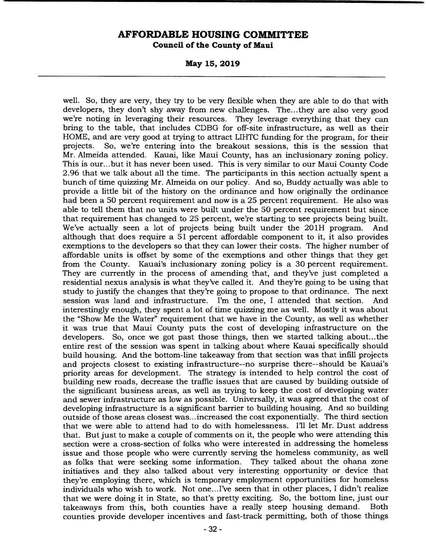**May 15, 2019** 

well. So, they are very, they try to be very flexible when they are able to do that with developers, they don't shy away from new challenges. The.. .they are also very good we're noting in leveraging their resources. They leverage everything that they can bring to the table, that includes CDBG for off-site infrastructure, as well as their HOME, and are very good at trying to attract LIHTC funding for the program, for their projects. So, we're entering into the breakout sessions, this is the session that Mr. Almeida attended. Kauai, like Maui County, has an inclusionary zoning policy. This is our... but it has never been used. This is very similar to our Maui County Code 2.96 that we talk about all the time. The participants in this section actually spent a bunch of time quizzing Mr. Almeida on our policy. And so, Buddy actually was able to provide a little bit of the history on the ordinance and how originally the ordinance had been a 50 percent requirement and now is a 25 percent requirement. He also was able to tell them that no units were built under the 50 percent requirement but since that requirement has changed to 25 percent, we're starting to see projects being built. We've actually seen a lot of projects being built under the 201H program. And although that does require a 51 percent affordable component to it, it also provides exemptions to the developers so that they can lower their costs. The higher number of affordable units is offset by some of the exemptions and other things that they get from the County. Kauai's inclusionary zoning policy is a 30 percent requirement. They are currently in the process of amending that, and they've just completed a residential nexus analysis is what they've called it. And they're going to be using that study to justify the changes that they're going to propose to that ordinance. The next session was land and infrastructure. I'm the one, I attended that section. And interestingly enough, they spent a lot of time quizzing me as well. Mostly it was about the "Show Me the Water" requirement that we have in the County, as well as whether it was true that Maui County puts the cost of developing infrastructure on the developers. So, once we got past those things, then we started talking about... the entire rest of the session was spent in talking about where Kauai specifically should build housing. And the bottom-line takeaway from that section was that infill projects and projects closest to existing infrastructure--no surprise there--should be Kauai's priority areas for development. The strategy is intended to help control the cost of building new roads, decrease the traffic issues that are caused by building outside of the significant business areas, as well as trying to keep the cost of developing water and sewer infrastructure as low as possible. Universally, it was agreed that the cost of developing infrastructure is a significant barrier to building housing. And so building outside of those areas closest was... increased the cost exponentially. The third section that we were able to attend had to do with homelessness. I'll let Mr. Dust address that. But just to make a couple of comments on it, the people who were attending this section were a cross-section of folks who were interested in addressing the homeless issue and those people who were currently serving the homeless community, as well as folks that were seeking some information. They talked about the ohana zone initiatives and they also talked about very interesting opportunity or device that they're employing there, which is temporary employment opportunities for homeless individuals who wish to work. Not one... I've seen that in other places, I didn't realize that we were doing it in State, so that's pretty exciting. So, the bottom line, just our takeaways from this, both counties have a really steep housing demand. Both counties provide developer incentives and fast-track permitting, both of those things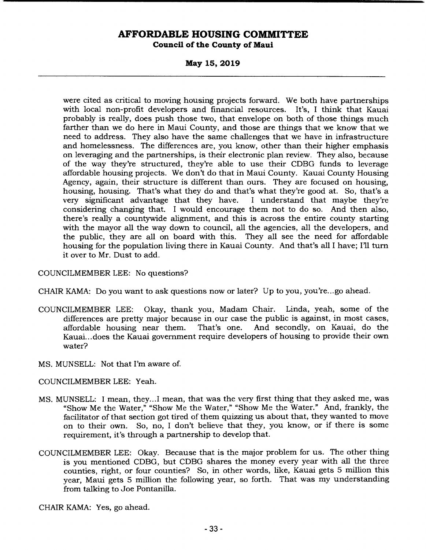**May 15, 2019** 

were cited as critical to moving housing projects forward. We both have partnerships with local non-profit developers and financial resources. It's, I think that Kauai probably is really, does push those two, that envelope on both of those things much farther than we do here in Maui County, and those are things that we know that we need to address. They also have the same challenges that we have in infrastructure and homelessness. The differences are, you know, other than their higher emphasis on leveraging and the partnerships, is their electronic plan review. They also, because of the way they're structured, they're able to use their CDBG funds to leverage affordable housing projects. We don't do that in Maui County. Kauai County Housing Agency, again, their structure is different than ours. They are focused on housing, housing, housing. That's what they do and that's what they're good at. So, that's a very significant advantage that they have. considering changing that. I would encourage them not to do so. And then also, there's really a countywide alignment, and this is across the entire county starting with the mayor all the way down to council, all the agencies, all the developers, and the public, they are all on board with this. They all see the need for affordable housing for the population living there in Kauai County. And that's all I have; I'll turn it over to Mr. Dust to add.

COUNCILMEMBER LEE: No questions?

CHAIR KAMA: Do you want to ask questions now or later? Up to you, you're... go ahead.

- COUNCILMEMBER LEE: Okay, thank you, Madam Chair. Linda, yeah, some of the differences are pretty major because in our case the public is against, in most cases, affordable housing near them. That's one. And secondly, on Kauai, do the Kauai...does the Kauai government require developers of housing to provide their own water?
- MS. MUNSELL: Not that I'm aware of.
- COUNCILMEMBER LEE: Yeah.
- MS. MUNSELL: I mean, they.. .1 mean, that was the very first thing that they asked me, was "Show Me the Water," "Show Me the Water," "Show Me the Water." And, frankly, the facilitator of that section got tired of them quizzing us about that, they wanted to move on to their own. So, no, I don't believe that they, you know, or if there is some requirement, it's through a partnership to develop that.
- COUNCILMEMBER LEE: Okay. Because that is the major problem for us. The other thing is you mentioned CDBG, but CDBG shares the money every year with all the three counties, right, or four counties? So, in other words, like, Kauai gets 5 million this year, Maui gets 5 million the following year, so forth. That was my understanding from talking to Joe Pontanilla.

CHAIR KAMA: Yes, go ahead.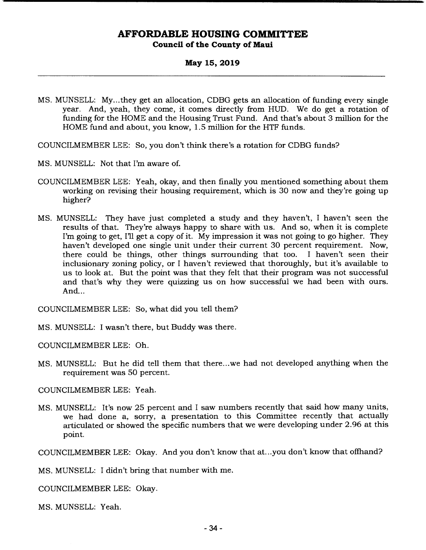#### **May 15, 2019**

MS. MUNSELL: My.. .they get an allocation, CDBG gets an allocation of funding every single year. And, yeah, they come, it comes directly from HUD. We do get a rotation of funding for the HOME and the Housing Trust Fund. And that's about 3 million for the HOME fund and about, you know, 1.5 million for the HTF funds.

COUNCILMEMBER LEE: So, you don't think there's a rotation for CDBG funds?

- MS. MUNSELL: Not that I'm aware of.
- COUNCILMEMBER LEE: Yeah, okay, and then finally you mentioned something about them working on revising their housing requirement, which is 30 now and they're going up higher?
- MS. MUNSELL: They have just completed a study and they haven't, I haven't seen the results of that. They're always happy to share with us. And so, when it is complete I'm going to get, I'll get a copy of it. My impression it was not going to go higher. They haven't developed one single unit under their current 30 percent requirement. Now, there could be things, other things surrounding that too. I haven't seen their inclusionary zoning policy, or I haven't reviewed that thoroughly, but it's available to us to look at. But the point was that they felt that their program was not successful and that's why they were quizzing us on how successful we had been with ours. And...

COUNCILMEMBER LEE: So, what did you tell them?

MS. MUNSELL: I wasn't there, but Buddy was there.

COUNCILMEMBER LEE: Oh.

MS. MUNSELL: But he did tell them that there.. .we had not developed anything when the requirement was 50 percent.

COUNCILMEMBER LEE: Yeah.

MS. MUNSELL: It's now 25 percent and I saw numbers recently that said how many units, we had done a, sorry, a presentation to this Committee recently that actually articulated or showed the specific numbers that we were developing under 2.96 at this point.

COUNCILMEMBER LEE: Okay. And you don't know that at.. .you don't know that offhand?

MS. MUNSELL: I didn't bring that number with me.

COUNCILMEMBER LEE: Okay.

MS. MUNSELL: Yeah.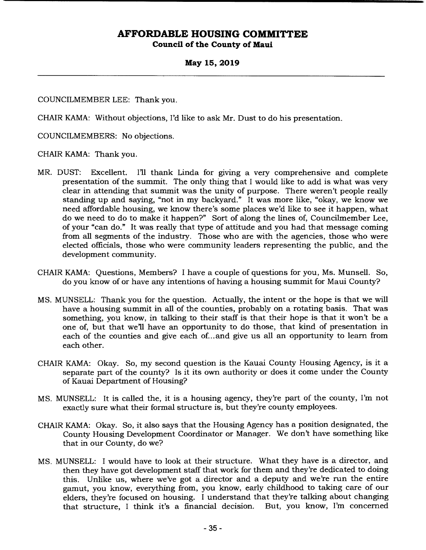### **May 15, 2019**

COUNCILMEMBER LEE: Thank you.

CHAIR KAMA: Without objections, I'd like to ask Mr. Dust to do his presentation.

COUNCILMEMBERS: No objections.

CHAIR KAMA: Thank you.

- MR. DUST: Excellent. I'll thank Linda for giving a very comprehensive and complete presentation of the summit. The only thing that I would like to add is what was very clear in attending that summit was the unity of purpose. There weren't people really standing up and saying, "not in my backyard." It was more like, "okay, we know we need affordable housing, we know there's some places we'd like to see it happen, what do we need to do to make it happen?" Sort of along the lines of, Councilmember Lee, of your "can do." It was really that type of attitude and you had that message coming from all segments of the industry. Those who are with the agencies, those who were elected officials, those who were community leaders representing the public, and the development community.
- CHAIR KAMA: Questions, Members? I have a couple of questions for you, Ms. Munsell. So, do you know of or have any intentions of having a housing summit for Maui County?
- MS. MUNSELL: Thank you for the question. Actually, the intent or the hope is that we will have a housing summit in all of the counties, probably on a rotating basis. That was something, you know, in talking to their staff is that their hope is that it won't be a one of, but that well have an opportunity to do those, that kind of presentation in each of the counties and give each of... and give us all an opportunity to learn from each other.
- CHAIR KAMA: Okay. So, my second question is the Kauai County Housing Agency, is it a separate part of the county? Is it its own authority or does it come under the County of Kauai Department of Housing?
- MS. MUNSELL: It is called the, it is a housing agency, they're part of the county, I'm not exactly sure what their formal structure is, but they're county employees.
- CHAIR KAMA: Okay. So, it also says that the Housing Agency has a position designated, the County Housing Development Coordinator or Manager. We don't have something like that in our County, do we?
- MS. MUNSELL: I would have to look at their structure. What they have is a director, and then they have got development staff that work for them and they're dedicated to doing this. Unlike us, where we've got a director and a deputy and we're run the entire gamut, you know, everything from, you know, early childhood to taking care of our elders, they're focused on housing. I understand that they're talking about changing that structure, I think it's a financial decision. But, you know, I'm concerned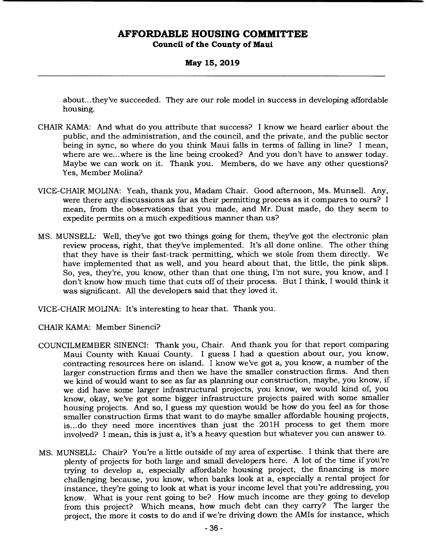**May 15, 2019** 

about... they've succeeded. They are our role model in success in developing affordable housing.

- CHAIR KAMA: And what do you attribute that success? I know we heard earlier about the public, and the administration, and the council, and the private, and the public sector being in sync, so where do you think Maui falls in terms of falling in line? I mean, where are we... where is the line being crooked? And you don't have to answer today. Maybe we can work on it. Thank you. Members, do we have any other questions? Yes, Member Molina?
- VICE-CHAIR MOLINA: Yeah, thank you, Madam Chair. Good afternoon, Ms. Munsell. Any, were there any discussions as far as their permitting process as it compares to ours? I mean, from the observations that you made, and Mr. Dust made, do they seem to expedite permits on a much expeditious manner than us?
- MS. MUNSELL: Well, they've got two things going for them, they've got the electronic plan review process, right, that they've implemented. It's all done online. The other thing that they have is their fast-track permitting, which we stole from them directly. We have implemented that as well, and you heard about that, the little, the pink slips. So, yes, they're, you know, other than that one thing, I'm not sure, you know, and I don't know how much time that cuts off of their process. But I think, I would think it was significant. All the developers said that they loved it.

VICE-CHAIR MOLINA: It's interesting to hear that. Thank you.

- CHAIR KAMA: Member Sinenci?
- COUNCILMEMBER SINENCI: Thank you, Chair. And thank you for that report comparing Maui County with Kauai County. I guess I had a question about our, you know, contracting resources here on island. I know we've got a, you know, a number of the larger construction firms and then we have the smaller construction firms. And then we kind of would want to see as far as planning our construction, maybe, you know, if we did have some larger infrastructural projects, you know, we would kind of, you know, okay, we've got some bigger infrastructure projects paired with some smaller housing projects. And so, I guess my question would be how do you feel as for those smaller construction firms that want to do maybe smaller affordable housing projects, is... do they need more incentives than just the 201H process to get them more involved? I mean, this is just a, it's a heavy question but whatever you can answer to.
- MS. MUNSELL: Chair? You're a little outside of my area of expertise. I think that there are plenty of projects for both large and small developers here. A lot of the time if you're trying to develop a, especially affordable housing project, the financing is more challenging because, you know, when banks look at a, especially a rental project for instance, they're going to look at what is your income level that you're addressing, you know. What is your rent going to be? How much income are they going to develop from this project? Which means, how much debt can they carry? The larger the project, the more it costs to do and if we're driving down the AMIs for instance, which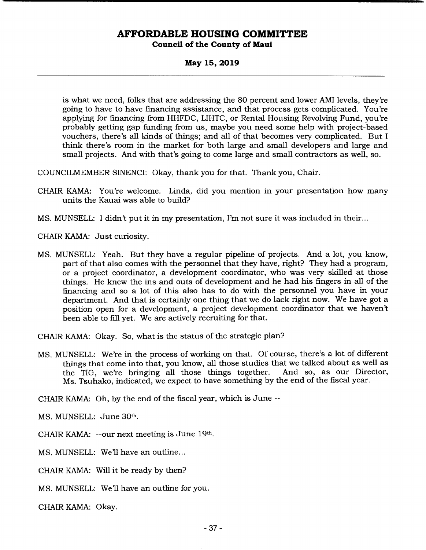**May 15, 2019** 

is what we need, folks that are addressing the 80 percent and lower AMI levels, they're going to have to have financing assistance, and that process gets complicated. You're applying for financing from HHFDC, LIHTC, or Rental Housing Revolving Fund, you're probably getting gap funding from us, maybe you need some help with project-based vouchers, there's all kinds of things; and all of that becomes very complicated. But I think there's room in the market for both large and small developers and large and small projects. And with that's going to come large and small contractors as well, so.

COUNCILMEMBER SINENCI: Okay, thank you for that. Thank you, Chair.

- CHAIR KAMA: You're welcome. Linda, did you mention in your presentation how many units the Kauai was able to build?
- MS. MUNSELL: I didn't put it in my presentation, I'm not sure it was included in their...

CHAIR KAMA: Just curiosity.

MS. MUNSELL: Yeah. But they have a regular pipeline of projects. And a lot, you know, part of that also comes with the personnel that they have, right? They had a program, or a project coordinator, a development coordinator, who was very skilled at those things. He knew the ins and outs of development and he had his fingers in all of the financing and so a lot of this also has to do with the personnel you have in your department. And that is certainly one thing that we do lack right now. We have got a position open for a development, a project development coordinator that we haven't been able to fill yet. We are actively recruiting for that.

CHAIR KAMA: Okay. So, what is the status of the strategic plan?

MS. MUNSELL: We're in the process of working on that. Of course, there's a lot of different things that come into that, you know, all those studies that we talked about as well as<br>the TIG, we're bringing all those things together. And so, as our Director, the TIG, we're bringing all those things together. Ms. Tsuhako, indicated, we expect to have something by the end of the fiscal year.

CHAIR KAMA: Oh, by the end of the fiscal year, which is June --

MS. MUNSELL: June 30th.

CHAIR KAMA: --our next meeting is June 19th.

MS. MUNSELL: We'll have an outline...

CHAIR KAMA: Will it be ready by then?

MS. MUNSELL: We'll have an outline for you.

CHAIR KAMA: Okay.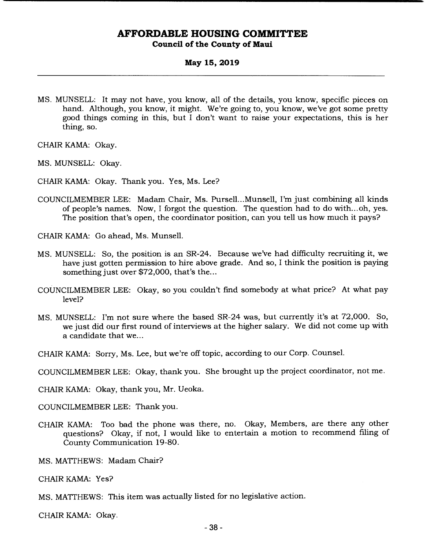#### **May 15, 2019**

MS. MUNSELL: It may not have, you know, all of the details, you know, specific pieces on hand. Although, you know, it might. We're going to, you know, we've got some pretty good things coming in this, but I don't want to raise your expectations, this is her thing, so.

CHAIR KAMA: Okay.

- MS. MUNSELL: Okay.
- CHAIR KAMA: Okay. Thank you. Yes, Ms. Lee?
- COUNCILMEMBER LEE: Madam Chair, Ms. Pursell...Munsell, I'm just combining all kinds of people's names. Now, I forgot the question. The question had to do with... oh, yes. The position that's open, the coordinator position, can you tell us how much it pays?

CHAIR KAMA: Go ahead, Ms. Munsell.

- MS. MUNSELL: So, the position is an SR-24. Because we've had difficulty recruiting it, we have just gotten permission to hire above grade. And so, I think the position is paying something just over \$72,000, that's the...
- COUNCILMEMBER LEE: Okay, so you couldn't find somebody at what price? At what pay level?
- MS. MUNSELL: I'm not sure where the based SR-24 was, but currently it's at 72,000. So, we just did our first round of interviews at the higher salary. We did not come up with a candidate that we...
- CHAIR KAMA: Sorry, Ms. Lee, but we're off topic, according to our Corp. Counsel.
- COUNCILMEMBER LEE: Okay, thank you. She brought up the project coordinator, not me.

CHAIR KAMA: Okay, thank you, Mr. Ueoka.

COUNCILMEMBER LEE: Thank you.

- CHAIR KAMA: Too bad the phone was there, no. Okay, Members, are there any other questions? Okay, if not, I would like to entertain a motion to recommend filing of County Communication 19-80.
- MS. MATrHEWS: Madam Chair?

CHAIR KAMA: Yes?

MS. MATTHEWS: This item was actually listed for no legislative action.

CHAIR KAMA: Okay.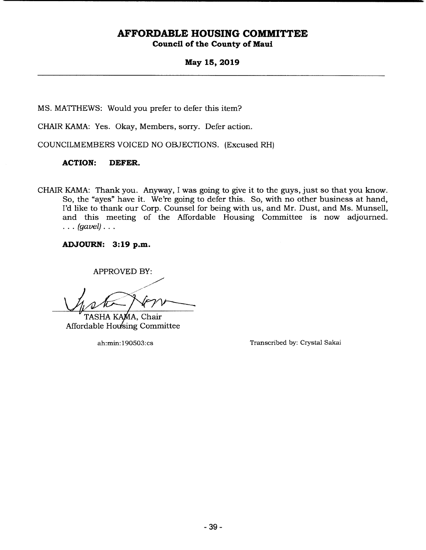**May 15, 2019** 

MS. MATTHEWS: Would you prefer to defer this item?

CHAIR KAMA: Yes. Okay, Members, sorry. Defer action.

COUNCILMEMBERS VOICED NO OBJECTIONS. (Excused RH)

#### **ACTION: DEFER.**

CHAIR KAMA: Thank you. Anyway, I was going to give it to the guys, just so that you know. So, the "ayes" have it. We're going to defer this. So, with no other business at hand, I'd like to thank our Corp. Counsel for being with us, and Mr. Dust, and Ms. Munsell, and this meeting of the Affordable Housing Committee is now adjourned. *(gavel)..* 

**ADJOURN: 3:19 p.m.** 

APPROVED BY:

TASHA KAMA, Chair Affordable Housing Committee

ah:min: 190503:cs Transcribed by: Crystal Sakai